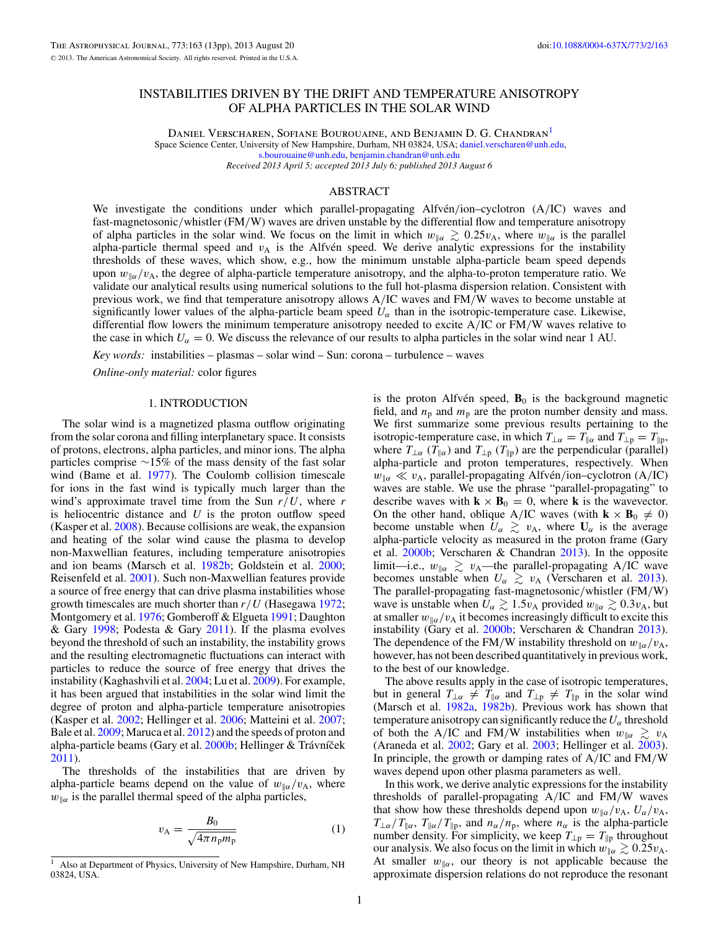# INSTABILITIES DRIVEN BY THE DRIFT AND TEMPERATURE ANISOTROPY OF ALPHA PARTICLES IN THE SOLAR WIND

DANIEL VERSCHAREN, SOFIANE BOUROUAINE, AND BENJAMIN D. G. CHANDRAN<sup>1</sup> Space Science Center, University of New Hampshire, Durham, NH 03824, USA; [daniel.verscharen@unh.edu,](mailto:daniel.verscharen@unh.edu) [s.bourouaine@unh.edu,](mailto:s.bourouaine@unh.edu) [benjamin.chandran@unh.edu](mailto:benjamin.chandran@unh.edu) *Received 2013 April 5; accepted 2013 July 6; published 2013 August 6*

### ABSTRACT

We investigate the conditions under which parallel-propagating Alfven<sup>'</sup>/ion–cyclotron (A<sup>/</sup>IC) waves and fast-magnetosonic*/*whistler (FM*/*W) waves are driven unstable by the differential flow and temperature anisotropy of alpha particles in the solar wind. We focus on the limit in which  $w_{\parallel \alpha} \gtrsim 0.25 v_{\text{A}}$ , where  $w_{\parallel \alpha}$  is the parallel alpha-particle thermal speed and  $v_A$  is the Alfvén speed. We derive analytic expressions for the instability thresholds of these waves, which show, e.g., how the minimum unstable alpha-particle beam speed depends upon  $w_{\alpha}/v_{\rm A}$ , the degree of alpha-particle temperature anisotropy, and the alpha-to-proton temperature ratio. We validate our analytical results using numerical solutions to the full hot-plasma dispersion relation. Consistent with previous work, we find that temperature anisotropy allows A*/*IC waves and FM*/*W waves to become unstable at significantly lower values of the alpha-particle beam speed  $U_{\alpha}$  than in the isotropic-temperature case. Likewise, differential flow lowers the minimum temperature anisotropy needed to excite A*/*IC or FM*/*W waves relative to the case in which  $U_{\alpha} = 0$ . We discuss the relevance of our results to alpha particles in the solar wind near 1 AU.

*Key words:* instabilities – plasmas – solar wind – Sun: corona – turbulence – waves

*Online-only material:* color figures

### 1. INTRODUCTION

The solar wind is a magnetized plasma outflow originating from the solar corona and filling interplanetary space. It consists of protons, electrons, alpha particles, and minor ions. The alpha particles comprise ∼15% of the mass density of the fast solar wind (Bame et al. [1977\)](#page-11-0). The Coulomb collision timescale for ions in the fast wind is typically much larger than the wind's approximate travel time from the Sun *r/U*, where *r* is heliocentric distance and *U* is the proton outflow speed (Kasper et al. [2008\)](#page-12-0). Because collisions are weak, the expansion and heating of the solar wind cause the plasma to develop non-Maxwellian features, including temperature anisotropies and ion beams (Marsch et al. [1982b;](#page-12-0) Goldstein et al. [2000;](#page-12-0) Reisenfeld et al. [2001\)](#page-12-0). Such non-Maxwellian features provide a source of free energy that can drive plasma instabilities whose growth timescales are much shorter than *r/U* (Hasegawa [1972;](#page-12-0) Montgomery et al. [1976;](#page-12-0) Gomberoff & Elgueta [1991;](#page-12-0) Daughton & Gary [1998;](#page-11-0) Podesta & Gary [2011\)](#page-12-0). If the plasma evolves beyond the threshold of such an instability, the instability grows and the resulting electromagnetic fluctuations can interact with particles to reduce the source of free energy that drives the instability (Kaghashvili et al. [2004;](#page-12-0) Lu et al. [2009\)](#page-12-0). For example, it has been argued that instabilities in the solar wind limit the degree of proton and alpha-particle temperature anisotropies (Kasper et al. [2002;](#page-12-0) Hellinger et al. [2006;](#page-12-0) Matteini et al. [2007;](#page-12-0) Bale et al. [2009;](#page-11-0) Maruca et al. [2012\)](#page-12-0) and the speeds of proton and alpha-particle beams (Gary et al. [2000b;](#page-12-0) Hellinger & Trávníček [2011\)](#page-12-0).

The thresholds of the instabilities that are driven by alpha-particle beams depend on the value of  $w_{\alpha}/v_{A}$ , where  $w_{\alpha}$  is the parallel thermal speed of the alpha particles,

$$
v_{\rm A} = \frac{B_0}{\sqrt{4\pi n_{\rm p} m_{\rm p}}} \tag{1}
$$

is the proton Alfvén speed,  $\mathbf{B}_0$  is the background magnetic field, and  $n_p$  and  $m_p$  are the proton number density and mass. We first summarize some previous results pertaining to the isotropic-temperature case, in which  $T_{\perp\alpha} = T_{\parallel\alpha}$  and  $T_{\perp p} = T_{\parallel p}$ , where  $T_{\perp\alpha}$  ( $T_{\parallel\alpha}$ ) and  $T_{\perp p}$  ( $T_{\parallel p}$ ) are the perpendicular (parallel) alpha-particle and proton temperatures, respectively. When *w*<sub>*Ⅱα*</sub>  $\ll v_A$ , parallel-propagating Alfvén/ion–cyclotron (A/IC) waves are stable. We use the phrase "parallel-propagating" to describe waves with  $\mathbf{k} \times \mathbf{B}_0 = 0$ , where **k** is the wavevector. On the other hand, oblique A/IC waves (with  $\mathbf{k} \times \mathbf{B}_0 \neq 0$ ) become unstable when  $U_{\alpha} \geq v_{A}$ , where  $U_{\alpha}$  is the average alpha-particle velocity as measured in the proton frame (Gary et al. [2000b;](#page-12-0) Verscharen & Chandran [2013\)](#page-12-0). In the opposite limit—i.e.,  $w_{\parallel \alpha} \gtrsim v_{\rm A}$ —the parallel-propagating A/IC wave becomes unstable when  $U_{\alpha} \geq v_{A}$  (Verscharen et al. [2013\)](#page-12-0). The parallel-propagating fast-magnetosonic*/*whistler (FM*/*W) wave is unstable when  $U_{\alpha} \gtrsim 1.5v_{A}$  provided  $w_{\parallel \alpha} \gtrsim 0.3v_{A}$ , but at smaller  $w_{\parallel \alpha}/v_A$  it becomes increasingly difficult to excite this instability (Gary et al. [2000b;](#page-12-0) Verscharen & Chandran [2013\)](#page-12-0). The dependence of the FM/W instability threshold on  $w_{\alpha}/v_{\rm A}$ , however, has not been described quantitatively in previous work, to the best of our knowledge.

The above results apply in the case of isotropic temperatures, but in general  $T_{\perp\alpha} \neq T_{\parallel\alpha}$  and  $T_{\perp p} \neq T_{\parallel p}$  in the solar wind (Marsch et al. [1982a,](#page-12-0) [1982b\)](#page-12-0). Previous work has shown that temperature anisotropy can significantly reduce the  $U_{\alpha}$  threshold of both the A/IC and FM/W instabilities when  $w_{\alpha} \geq v_{\alpha}$ (Araneda et al. [2002;](#page-11-0) Gary et al. [2003;](#page-12-0) Hellinger et al. [2003\)](#page-12-0). In principle, the growth or damping rates of A*/*IC and FM*/*W waves depend upon other plasma parameters as well.

In this work, we derive analytic expressions for the instability thresholds of parallel-propagating A*/*IC and FM*/*W waves that show how these thresholds depend upon  $w_{\alpha}/v_{A}$ ,  $U_{\alpha}/v_{A}$ ,  $T_{\perp\alpha}/T_{\parallel\alpha}$ ,  $T_{\parallel\alpha}/T_{\parallel p}$ , and  $n_{\alpha}/n_p$ , where  $n_{\alpha}$  is the alpha-particle number density. For simplicity, we keep  $T_{\perp p} = T_{\parallel p}$  throughout our analysis. We also focus on the limit in which  $w_{\parallel \alpha} \gtrsim 0.25 v_{\text{A}}$ . At smaller  $w_{\alpha}$ , our theory is not applicable because the approximate dispersion relations do not reproduce the resonant

Also at Department of Physics, University of New Hampshire, Durham, NH 03824, USA.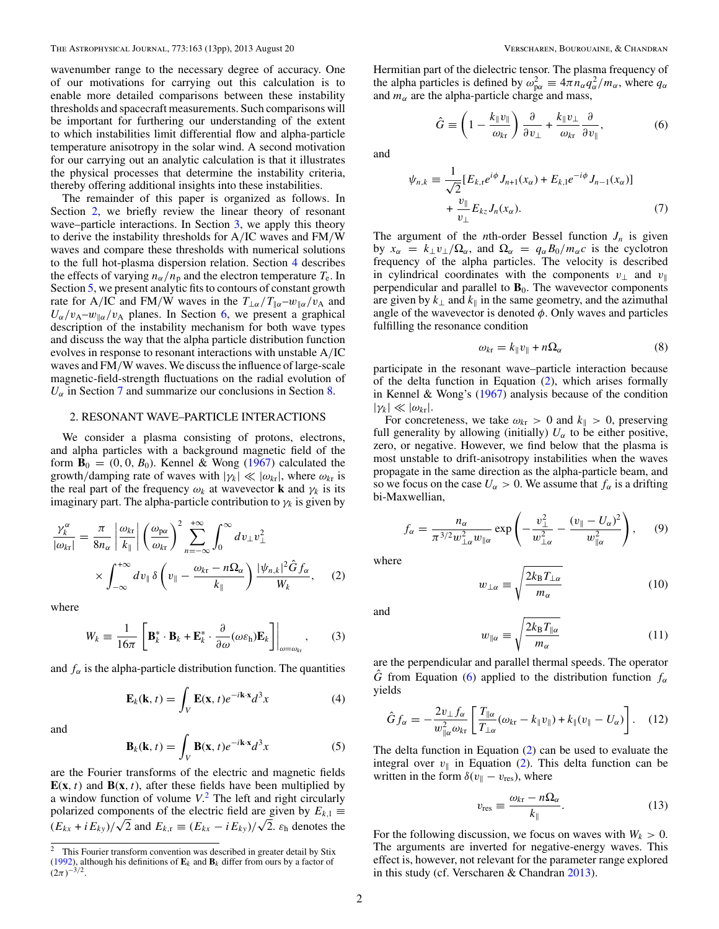<span id="page-1-0"></span>wavenumber range to the necessary degree of accuracy. One of our motivations for carrying out this calculation is to enable more detailed comparisons between these instability thresholds and spacecraft measurements. Such comparisons will be important for furthering our understanding of the extent to which instabilities limit differential flow and alpha-particle temperature anisotropy in the solar wind. A second motivation for our carrying out an analytic calculation is that it illustrates the physical processes that determine the instability criteria, thereby offering additional insights into these instabilities.

The remainder of this paper is organized as follows. In Section 2, we briefly review the linear theory of resonant wave–particle interactions. In Section [3,](#page-2-0) we apply this theory to derive the instability thresholds for A*/*IC waves and FM*/*W waves and compare these thresholds with numerical solutions to the full hot-plasma dispersion relation. Section [4](#page-6-0) describes the effects of varying  $n_{\alpha}/n_{\text{p}}$  and the electron temperature  $T_{\text{e}}$ . In Section [5,](#page-7-0) we present analytic fits to contours of constant growth rate for A/IC and FM/W waves in the  $T_{\perp\alpha}/T_{\parallel\alpha}-w_{\parallel\alpha}/v_A$  and  $U_{\alpha}/v_{A}-w_{\parallel \alpha}/v_{A}$  planes. In Section [6,](#page-8-0) we present a graphical description of the instability mechanism for both wave types and discuss the way that the alpha particle distribution function evolves in response to resonant interactions with unstable A*/*IC waves and FM*/*W waves. We discuss the influence of large-scale magnetic-field-strength fluctuations on the radial evolution of  $U_{\alpha}$  in Section [7](#page-9-0) and summarize our conclusions in Section [8.](#page-9-0)

#### 2. RESONANT WAVE–PARTICLE INTERACTIONS

We consider a plasma consisting of protons, electrons, and alpha particles with a background magnetic field of the form  $\mathbf{B}_0 = (0, 0, B_0)$ . Kennel & Wong [\(1967\)](#page-12-0) calculated the growth/damping rate of waves with  $|\gamma_k| \ll |\omega_{k\tau}|$ , where  $\omega_{k\tau}$  is the real part of the frequency  $\omega_k$  at wavevector **k** and  $\gamma_k$  is its imaginary part. The alpha-particle contribution to  $\gamma_k$  is given by

$$
\frac{\gamma_k^{\alpha}}{|\omega_{k\mathbf{r}}|} = \frac{\pi}{8n_{\alpha}} \left| \frac{\omega_{k\mathbf{r}}}{k_{\parallel}} \right| \left( \frac{\omega_{p\alpha}}{\omega_{k\mathbf{r}}} \right)^2 \sum_{n=-\infty}^{+\infty} \int_0^{\infty} dv_{\perp} v_{\perp}^2
$$

$$
\times \int_{-\infty}^{+\infty} dv_{\parallel} \delta \left( v_{\parallel} - \frac{\omega_{k\mathbf{r}} - n\Omega_{\alpha}}{k_{\parallel}} \right) \frac{|\psi_{n,k}|^2 \hat{G} f_{\alpha}}{W_k}, \quad (2)
$$

where

$$
W_k = \frac{1}{16\pi} \left[ \mathbf{B}_k^* \cdot \mathbf{B}_k + \mathbf{E}_k^* \cdot \frac{\partial}{\partial \omega} (\omega \varepsilon_{\rm h}) \mathbf{E}_k \right] \Big|_{\omega = \omega_{\rm kr}}, \qquad (3)
$$

and  $f_{\alpha}$  is the alpha-particle distribution function. The quantities

$$
\mathbf{E}_k(\mathbf{k}, t) = \int_V \mathbf{E}(\mathbf{x}, t) e^{-i\mathbf{k}\cdot\mathbf{x}} d^3 x \tag{4}
$$

and

$$
\mathbf{B}_k(\mathbf{k}, t) = \int_V \mathbf{B}(\mathbf{x}, t) e^{-i\mathbf{k}\cdot\mathbf{x}} d^3x \tag{5}
$$

are the Fourier transforms of the electric and magnetic fields  $E(x, t)$  and  $B(x, t)$ , after these fields have been multiplied by a window function of volume *V*. <sup>2</sup> The left and right circularly polarized components of the electric field are given by  $E_{k,1} \equiv$  $(E_{kx} + iE_{ky})/\sqrt{2}$  and  $E_{k,r} \equiv (E_{kx} - iE_{ky})/\sqrt{2}$ .  $\varepsilon_h$  denotes the Hermitian part of the dielectric tensor. The plasma frequency of the alpha particles is defined by  $\omega_{\text{p}\alpha}^2 \equiv 4\pi n_{\alpha} q_{\alpha}^2 / m_{\alpha}$ , where  $q_{\alpha}$ and  $m_\alpha$  are the alpha-particle charge and mass,

$$
\hat{G} \equiv \left(1 - \frac{k_{\parallel}v_{\parallel}}{\omega_{\rm kr}}\right) \frac{\partial}{\partial v_{\perp}} + \frac{k_{\parallel}v_{\perp}}{\omega_{\rm kr}} \frac{\partial}{\partial v_{\parallel}},\tag{6}
$$

and

$$
\psi_{n,k} \equiv \frac{1}{\sqrt{2}} [E_{k,r} e^{i\phi} J_{n+1}(x_{\alpha}) + E_{k,l} e^{-i\phi} J_{n-1}(x_{\alpha})] + \frac{\nu_{\parallel}}{\nu_{\perp}} E_{kz} J_n(x_{\alpha}).
$$
\n(7)

The argument of the *n*th-order Bessel function  $J_n$  is given by  $x_\alpha = k_\perp v_\perp / \Omega_\alpha$ , and  $\Omega_\alpha = q_\alpha B_0 / m_\alpha c$  is the cyclotron frequency of the alpha particles. The velocity is described in cylindrical coordinates with the components  $v_{\perp}$  and  $v_{\parallel}$ perpendicular and parallel to  $\mathbf{B}_0$ . The wavevector components are given by  $k_{\perp}$  and  $k_{\parallel}$  in the same geometry, and the azimuthal angle of the wavevector is denoted *φ*. Only waves and particles fulfilling the resonance condition

$$
\omega_{k\mathbf{r}} = k_{\parallel} v_{\parallel} + n\Omega_{\alpha} \tag{8}
$$

participate in the resonant wave–particle interaction because of the delta function in Equation (2), which arises formally in Kennel & Wong's  $(1967)$  analysis because of the condition  $|\gamma_k| \ll |\omega_{kr}|.$ 

For concreteness, we take  $\omega_{k\tau} > 0$  and  $k_{\parallel} > 0$ , preserving full generality by allowing (initially)  $U_{\alpha}$  to be either positive, zero, or negative. However, we find below that the plasma is most unstable to drift-anisotropy instabilities when the waves propagate in the same direction as the alpha-particle beam, and so we focus on the case  $U_\alpha > 0$ . We assume that  $f_\alpha$  is a drifting bi-Maxwellian,

$$
f_{\alpha} = \frac{n_{\alpha}}{\pi^{3/2} w_{\perp \alpha}^2 w_{\parallel \alpha}} \exp\left(-\frac{v_{\perp}^2}{w_{\perp \alpha}^2} - \frac{(v_{\parallel} - U_{\alpha})^2}{w_{\parallel \alpha}^2}\right), \qquad (9)
$$

where

$$
w_{\perp\alpha} \equiv \sqrt{\frac{2k_{\rm B}T_{\perp\alpha}}{m_{\alpha}}} \tag{10}
$$

and

$$
w_{\parallel\alpha} \equiv \sqrt{\frac{2k_{\rm B}T_{\parallel\alpha}}{m_{\alpha}}} \tag{11}
$$

are the perpendicular and parallel thermal speeds. The operator  $\hat{G}$  from Equation (6) applied to the distribution function  $f_{\alpha}$ yields

$$
\hat{G}f_{\alpha} = -\frac{2v_{\perp}f_{\alpha}}{w_{\parallel \alpha}^2 \omega_{\text{kr}}} \left[ \frac{T_{\parallel \alpha}}{T_{\perp \alpha}} (\omega_{\text{kr}} - k_{\parallel} v_{\parallel}) + k_{\parallel} (v_{\parallel} - U_{\alpha}) \right]. \quad (12)
$$

The delta function in Equation (2) can be used to evaluate the integral over  $v_{\parallel}$  in Equation (2). This delta function can be written in the form  $\delta(v_{\parallel} - v_{\text{res}})$ , where

$$
v_{\rm res} \equiv \frac{\omega_{k\rm r} - n\Omega_{\alpha}}{k_{\parallel}}.\tag{13}
$$

For the following discussion, we focus on waves with  $W_k > 0$ . The arguments are inverted for negative-energy waves. This effect is, however, not relevant for the parameter range explored in this study (cf. Verscharen & Chandran [2013\)](#page-12-0).

<sup>&</sup>lt;sup>2</sup> This Fourier transform convention was described in greater detail by Stix [\(1992\)](#page-12-0), although his definitions of  $\mathbf{E}_k$  and  $\mathbf{B}_k$  differ from ours by a factor of  $(2\pi)^{-3/2}$ .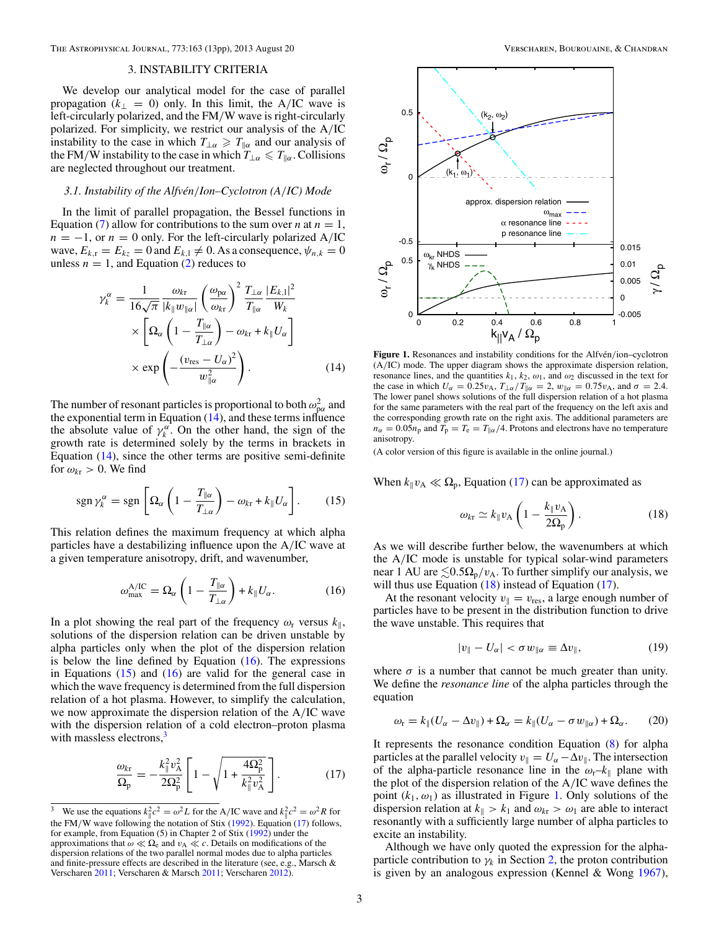# 3. INSTABILITY CRITERIA

<span id="page-2-0"></span>We develop our analytical model for the case of parallel propagation ( $k_{\perp} = 0$ ) only. In this limit, the A/IC wave is left-circularly polarized, and the FM*/*W wave is right-circularly polarized. For simplicity, we restrict our analysis of the A*/*IC instability to the case in which  $T_{\perp\alpha} \geq T_{\parallel\alpha}$  and our analysis of the FM/W instability to the case in which  $T_{\perp\alpha} \leq T_{\parallel\alpha}$ . Collisions are neglected throughout our treatment.

## *3.1. Instability of the Alfven´ /Ion–Cyclotron (A/IC) Mode*

In the limit of parallel propagation, the Bessel functions in Equation [\(7\)](#page-1-0) allow for contributions to the sum over *n* at  $n = 1$ ,  $n = -1$ , or  $n = 0$  only. For the left-circularly polarized A/IC wave,  $E_{k,r} = E_{kz} = 0$  and  $E_{k,1} \neq 0$ . As a consequence,  $\psi_{n,k} = 0$ unless  $n = 1$ , and Equation [\(2\)](#page-1-0) reduces to

$$
\gamma_{k}^{\alpha} = \frac{1}{16\sqrt{\pi}} \frac{\omega_{k\mathbf{r}}}{|k_{\parallel}w_{\parallel\alpha}|} \left(\frac{\omega_{\mathbf{p}\alpha}}{\omega_{k\mathbf{r}}}\right)^{2} \frac{T_{\perp\alpha}}{T_{\parallel\alpha}} \frac{|E_{k,1}|^{2}}{W_{k}}
$$

$$
\times \left[\Omega_{\alpha} \left(1 - \frac{T_{\parallel\alpha}}{T_{\perp\alpha}}\right) - \omega_{k\mathbf{r}} + k_{\parallel}U_{\alpha}\right]
$$

$$
\times \exp\left(-\frac{(v_{\mathbf{r}\mathbf{e}\mathbf{s}} - U_{\alpha})^{2}}{w_{\parallel\alpha}^{2}}\right).
$$
(14)

The number of resonant particles is proportional to both  $\omega_{\text{p} \alpha}^2$  and the exponential term in Equation (14), and these terms influence the absolute value of  $\gamma_k^{\alpha}$ . On the other hand, the sign of the growth rate is determined solely by the terms in brackets in Equation (14), since the other terms are positive semi-definite for  $\omega_{kr} > 0$ . We find

$$
\operatorname{sgn}\gamma_{k}^{\alpha}=\operatorname{sgn}\left[\Omega_{\alpha}\left(1-\frac{T_{\parallel\alpha}}{T_{\perp\alpha}}\right)-\omega_{k\mathrm{r}}+k_{\parallel}U_{\alpha}\right].\qquad(15)
$$

This relation defines the maximum frequency at which alpha particles have a destabilizing influence upon the A*/*IC wave at a given temperature anisotropy, drift, and wavenumber,

$$
\omega_{\max}^{\text{A/IC}} = \Omega_{\alpha} \left( 1 - \frac{T_{\parallel \alpha}}{T_{\perp \alpha}} \right) + k_{\parallel} U_{\alpha}.
$$
 (16)

In a plot showing the real part of the frequency  $\omega_r$  versus  $k_{\parallel}$ , solutions of the dispersion relation can be driven unstable by alpha particles only when the plot of the dispersion relation is below the line defined by Equation  $(16)$ . The expressions in Equations  $(15)$  and  $(16)$  are valid for the general case in which the wave frequency is determined from the full dispersion relation of a hot plasma. However, to simplify the calculation, we now approximate the dispersion relation of the A*/*IC wave with the dispersion relation of a cold electron–proton plasma with massless electrons, $3$ 

$$
\frac{\omega_{k\rm r}}{\Omega_{\rm p}} = -\frac{k_{\parallel}^2 v_{\rm A}^2}{2\Omega_{\rm p}^2} \left[ 1 - \sqrt{1 + \frac{4\Omega_{\rm p}^2}{k_{\parallel}^2 v_{\rm A}^2}} \right].
$$
 (17)



Figure 1. Resonances and instability conditions for the Alfvén/ion–cyclotron (A*/*IC) mode. The upper diagram shows the approximate dispersion relation, resonance lines, and the quantities  $k_1$ ,  $k_2$ ,  $\omega_1$ , and  $\omega_2$  discussed in the text for the case in which  $U_{\alpha} = 0.25v_{A}$ ,  $T_{\perp \alpha}/T_{\parallel \alpha} = 2$ ,  $w_{\parallel \alpha} = 0.75v_{A}$ , and  $\sigma = 2.4$ . The lower panel shows solutions of the full dispersion relation of a hot plasma for the same parameters with the real part of the frequency on the left axis and the corresponding growth rate on the right axis. The additional parameters are  $n_{\alpha} = 0.05n_{\text{p}}$  and  $T_{\text{p}} = T_{\text{e}} = T_{\text{p}}/4$ . Protons and electrons have no temperature anisotropy.

(A color version of this figure is available in the online journal.)

When  $k_{\parallel}v_{\rm A} \ll \Omega_{\rm p}$ , Equation (17) can be approximated as

$$
\omega_{k\mathbf{r}} \simeq k_{\parallel} v_{\mathbf{A}} \left( 1 - \frac{k_{\parallel} v_{\mathbf{A}}}{2\Omega_{\mathbf{p}}} \right). \tag{18}
$$

As we will describe further below, the wavenumbers at which the A*/*IC mode is unstable for typical solar-wind parameters near 1 AU are  $\leq 0.5\Omega_{\rm p}/v_{\rm A}$ . To further simplify our analysis, we will thus use Equation  $(18)$  instead of Equation  $(17)$ .

At the resonant velocity  $v_{\parallel} = v_{\text{res}}$ , a large enough number of particles have to be present in the distribution function to drive the wave unstable. This requires that

$$
|v_{\parallel} - U_{\alpha}| < \sigma \, w_{\parallel \alpha} \equiv \Delta v_{\parallel},\tag{19}
$$

where  $\sigma$  is a number that cannot be much greater than unity. We define the *resonance line* of the alpha particles through the equation

$$
\omega_{\rm r} = k_{\parallel} (U_{\alpha} - \Delta v_{\parallel}) + \Omega_{\alpha} = k_{\parallel} (U_{\alpha} - \sigma w_{\parallel \alpha}) + \Omega_{\alpha}.
$$
 (20)

It represents the resonance condition Equation [\(8\)](#page-1-0) for alpha particles at the parallel velocity  $v_{\parallel} = U_{\alpha} - \Delta v_{\parallel}$ . The intersection of the alpha-particle resonance line in the  $\omega_r - k_{\parallel}$  plane with the plot of the dispersion relation of the A*/*IC wave defines the point  $(k_1, \omega_1)$  as illustrated in Figure 1. Only solutions of the dispersion relation at  $k_{\parallel} > k_1$  and  $\omega_{k} > \omega_1$  are able to interact resonantly with a sufficiently large number of alpha particles to excite an instability.

Although we have only quoted the expression for the alphaparticle contribution to  $\gamma_k$  in Section [2,](#page-1-0) the proton contribution is given by an analogous expression (Kennel & Wong [1967\)](#page-12-0),

<sup>&</sup>lt;sup>3</sup> We use the equations  $k_{\parallel}^2 c^2 = \omega^2 L$  for the A/IC wave and  $k_{\parallel}^2 c^2 = \omega^2 R$  for the FM/W wave following the notation of Stix [\(1992\)](#page-12-0). Equation (17) follows, for example, from Equation (5) in Chapter 2 of Stix [\(1992\)](#page-12-0) under the approximations that  $\omega \ll \Omega_e$  and  $v_A \ll c$ . Details on modifications of the dispersion relations of the two parallel normal modes due to alpha particles and finite-pressure effects are described in the literature (see, e.g., Marsch & Verscharen [2011;](#page-12-0) Verscharen & Marsch [2011;](#page-12-0) Verscharen [2012\)](#page-12-0).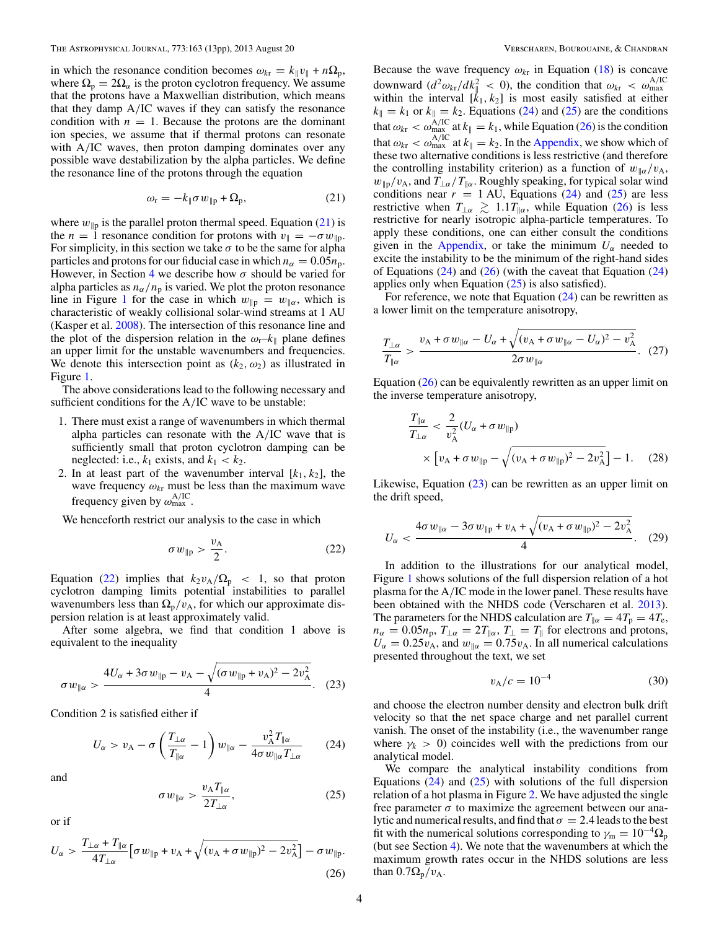<span id="page-3-0"></span>in which the resonance condition becomes  $\omega_{k\tau} = k_{\parallel} v_{\parallel} + n\Omega_{p}$ , where  $\Omega_p = 2\Omega_\alpha$  is the proton cyclotron frequency. We assume that the protons have a Maxwellian distribution, which means that they damp A*/*IC waves if they can satisfy the resonance condition with  $n = 1$ . Because the protons are the dominant ion species, we assume that if thermal protons can resonate with A*/*IC waves, then proton damping dominates over any possible wave destabilization by the alpha particles. We define the resonance line of the protons through the equation

$$
\omega_{\rm r} = -k_{\parallel} \sigma w_{\parallel \rm p} + \Omega_{\rm p},\tag{21}
$$

where  $w_{\parallel p}$  is the parallel proton thermal speed. Equation (21) is the *n* = 1 resonance condition for protons with  $v_{\parallel} = -\sigma w_{\parallel p}$ . For simplicity, in this section we take  $\sigma$  to be the same for alpha particles and protons for our fiducial case in which  $n_{\alpha} = 0.05n_{\rm p}$ . However, in Section [4](#page-6-0) we describe how  $\sigma$  should be varied for alpha particles as  $n_{\alpha}/n_{\rm p}$  is varied. We plot the proton resonance line in Figure [1](#page-2-0) for the case in which  $w_{\parallel p} = w_{\parallel \alpha}$ , which is characteristic of weakly collisional solar-wind streams at 1 AU (Kasper et al. [2008\)](#page-12-0). The intersection of this resonance line and the plot of the dispersion relation in the  $\omega_r - k_{\parallel}$  plane defines an upper limit for the unstable wavenumbers and frequencies. We denote this intersection point as  $(k_2, \omega_2)$  as illustrated in Figure [1.](#page-2-0)

The above considerations lead to the following necessary and sufficient conditions for the A*/*IC wave to be unstable:

- 1. There must exist a range of wavenumbers in which thermal alpha particles can resonate with the A*/*IC wave that is sufficiently small that proton cyclotron damping can be neglected: i.e.,  $k_1$  exists, and  $k_1 < k_2$ .
- 2. In at least part of the wavenumber interval  $[k_1, k_2]$ , the wave frequency  $\omega_{k\text{r}}$  must be less than the maximum wave frequency given by  $\omega_{\text{max}}^{\text{A/IC}}$

We henceforth restrict our analysis to the case in which

$$
\sigma w_{\parallel p} > \frac{v_{\text{A}}}{2}.\tag{22}
$$

Equation (22) implies that  $k_2v_A/\Omega_p < 1$ , so that proton cyclotron damping limits potential instabilities to parallel wavenumbers less than  $\Omega_{\rm p}/v_{\rm A}$ , for which our approximate dispersion relation is at least approximately valid.

After some algebra, we find that condition 1 above is equivalent to the inequality

$$
\sigma w_{\parallel \alpha} > \frac{4U_{\alpha} + 3\sigma w_{\parallel p} - v_{A} - \sqrt{(\sigma w_{\parallel p} + v_{A})^2 - 2v_{A}^2}}{4}.
$$
 (23)

Condition 2 is satisfied either if

$$
U_{\alpha} > v_{A} - \sigma \left(\frac{T_{\perp \alpha}}{T_{\parallel \alpha}} - 1\right) w_{\parallel \alpha} - \frac{v_{A}^{2} T_{\parallel \alpha}}{4 \sigma w_{\parallel \alpha} T_{\perp \alpha}} \qquad (24)
$$

and

$$
\sigma w_{\parallel \alpha} > \frac{v_{\rm A} T_{\parallel \alpha}}{2T_{\perp \alpha}},\tag{25}
$$

or if

$$
U_{\alpha} > \frac{T_{\perp\alpha} + T_{\parallel\alpha}}{4T_{\perp\alpha}} \Big[ \sigma w_{\parallel p} + v_{A} + \sqrt{(v_{A} + \sigma w_{\parallel p})^{2} - 2v_{A}^{2}} \Big] - \sigma w_{\parallel p}.
$$
\n(26)

Because the wave frequency  $\omega_{k\tau}$  in Equation [\(18\)](#page-2-0) is concave downward  $\left(d^2 \omega_{kt}/dk_\parallel^2\right) < 0$ , the condition that  $\omega_{kt} < \omega_{\text{max}}^{\text{A/IC}}$ within the interval  $[k_1, k_2]$  is most easily satisfied at either  $k_{\parallel} = k_1$  or  $k_{\parallel} = k_2$ . Equations (24) and (25) are the conditions that  $\omega_{\text{kr}} < \omega_{\text{max}}^{\text{A/IC}}$  at  $k_{\parallel} = k_1$ , while Equation (26) is the condition that  $\omega_{\text{kr}} < \omega_{\text{max}}^{\text{A/IC}}$  at  $k_{\parallel} = k_2$ . In the [Appendix,](#page-10-0) we show which of these two alternative conditions is less restrictive (and therefore the controlling instability criterion) as a function of  $w_{\alpha}/v_{\rm A}$ ,  $w_{\parallel p}/v_A$ , and  $T_{\perp \alpha}/T_{\parallel \alpha}$ . Roughly speaking, for typical solar wind conditions near  $r = 1$  AU, Equations (24) and (25) are less restrictive when  $T_{\perp\alpha} \gtrsim 1.1 T_{\parallel\alpha}$ , while Equation (26) is less restrictive for nearly isotropic alpha-particle temperatures. To apply these conditions, one can either consult the conditions given in the [Appendix,](#page-10-0) or take the minimum  $U_\alpha$  needed to excite the instability to be the minimum of the right-hand sides of Equations  $(24)$  and  $(26)$  (with the caveat that Equation  $(24)$ ) applies only when Equation  $(25)$  is also satisfied).

For reference, we note that Equation (24) can be rewritten as a lower limit on the temperature anisotropy,

$$
\frac{T_{\perp\alpha}}{T_{\parallel\alpha}} > \frac{v_{\rm A} + \sigma w_{\parallel\alpha} - U_{\alpha} + \sqrt{(v_{\rm A} + \sigma w_{\parallel\alpha} - U_{\alpha})^2 - v_{\rm A}^2}}{2\sigma w_{\parallel\alpha}}.\tag{27}
$$

Equation  $(26)$  can be equivalently rewritten as an upper limit on the inverse temperature anisotropy,

$$
\frac{T_{\parallel\alpha}}{T_{\perp\alpha}} < \frac{2}{v_{\rm A}^2} (U_{\alpha} + \sigma w_{\parallel p})
$$
\n
$$
\times \left[ v_{\rm A} + \sigma w_{\parallel p} - \sqrt{(v_{\rm A} + \sigma w_{\parallel p})^2 - 2v_{\rm A}^2} \right] - 1. \tag{28}
$$

Likewise, Equation (23) can be rewritten as an upper limit on the drift speed,

$$
U_{\alpha} < \frac{4\sigma w_{\parallel \alpha} - 3\sigma w_{\parallel \mathrm{p}} + v_{\mathrm{A}} + \sqrt{(v_{\mathrm{A}} + \sigma w_{\parallel \mathrm{p}})^2 - 2v_{\mathrm{A}}^2}}{4}.
$$
 (29)

In addition to the illustrations for our analytical model, Figure [1](#page-2-0) shows solutions of the full dispersion relation of a hot plasma for the A*/*IC mode in the lower panel. These results have been obtained with the NHDS code (Verscharen et al. [2013\)](#page-12-0). The parameters for the NHDS calculation are  $T_{\parallel \alpha} = 4T_p = 4T_e$ ,  $n_{\alpha} = 0.05n_{\text{p}}, T_{\perp \alpha} = 2T_{\parallel \alpha}, T_{\perp} = T_{\parallel}$  for electrons and protons,  $U_{\alpha} = 0.25v_{\text{A}}$ , and  $w_{\parallel \alpha} = 0.75v_{\text{A}}$ . In all numerical calculations presented throughout the text, we set

$$
v_{\rm A}/c = 10^{-4} \tag{30}
$$

and choose the electron number density and electron bulk drift velocity so that the net space charge and net parallel current vanish. The onset of the instability (i.e., the wavenumber range where  $\gamma_k > 0$ ) coincides well with the predictions from our analytical model.

We compare the analytical instability conditions from Equations  $(24)$  and  $(25)$  with solutions of the full dispersion relation of a hot plasma in Figure [2.](#page-4-0) We have adjusted the single free parameter  $\sigma$  to maximize the agreement between our analytic and numerical results, and find that  $\sigma = 2.4$  leads to the best fit with the numerical solutions corresponding to  $\gamma_m = 10^{-4} \Omega_p$ (but see Section [4\)](#page-6-0). We note that the wavenumbers at which the maximum growth rates occur in the NHDS solutions are less than  $0.7\Omega_p/v_A$ .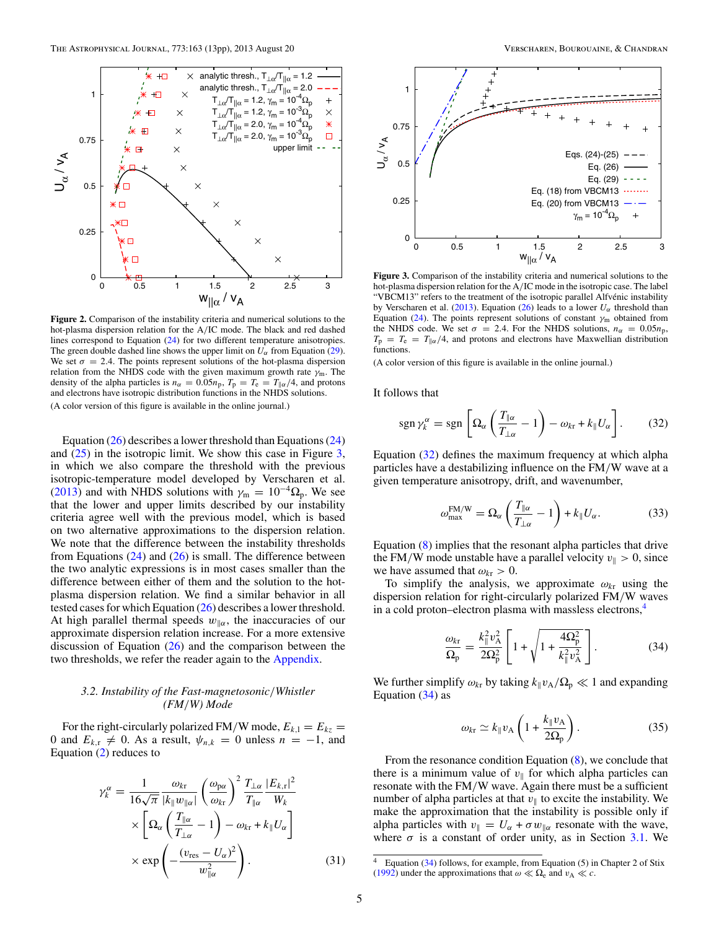<span id="page-4-0"></span>

**Figure 2.** Comparison of the instability criteria and numerical solutions to the hot-plasma dispersion relation for the A*/*IC mode. The black and red dashed lines correspond to Equation [\(24\)](#page-3-0) for two different temperature anisotropies. The green double dashed line shows the upper limit on  $U_{\alpha}$  from Equation [\(29\)](#page-3-0). We set  $\sigma = 2.4$ . The points represent solutions of the hot-plasma dispersion relation from the NHDS code with the given maximum growth rate  $\gamma_m$ . The density of the alpha particles is  $n_{\alpha} = 0.05n_{\text{p}}$ ,  $T_{\text{p}} = T_{\text{e}} = T_{\parallel \alpha}/4$ , and protons and electrons have isotropic distribution functions in the NHDS solutions. (A color version of this figure is available in the online journal.)

Equation  $(26)$  describes a lower threshold than Equations  $(24)$ and  $(25)$  in the isotropic limit. We show this case in Figure 3, in which we also compare the threshold with the previous isotropic-temperature model developed by Verscharen et al. [\(2013\)](#page-12-0) and with NHDS solutions with  $\gamma_m = 10^{-4} \Omega_p$ . We see that the lower and upper limits described by our instability criteria agree well with the previous model, which is based on two alternative approximations to the dispersion relation. We note that the difference between the instability thresholds from Equations  $(24)$  and  $(26)$  is small. The difference between the two analytic expressions is in most cases smaller than the difference between either of them and the solution to the hotplasma dispersion relation. We find a similar behavior in all tested cases for which Equation [\(26\)](#page-3-0) describes a lower threshold. At high parallel thermal speeds  $w_{\alpha}$ , the inaccuracies of our approximate dispersion relation increase. For a more extensive discussion of Equation  $(26)$  and the comparison between the two thresholds, we refer the reader again to the [Appendix.](#page-10-0)

# *3.2. Instability of the Fast-magnetosonic/Whistler (FM/W) Mode*

For the right-circularly polarized FM/W mode,  $E_{k,1} = E_{kz}$ 0 and  $E_{k,r} \neq 0$ . As a result,  $\psi_{n,k} = 0$  unless  $n = -1$ , and Equation [\(2\)](#page-1-0) reduces to

$$
\gamma_{k}^{\alpha} = \frac{1}{16\sqrt{\pi}} \frac{\omega_{k\mathbf{r}}}{|k_{\parallel}w_{\parallel\alpha}|} \left(\frac{\omega_{\mathbf{p}\alpha}}{\omega_{k\mathbf{r}}}\right)^{2} \frac{T_{\perp\alpha}}{T_{\parallel\alpha}} \frac{|E_{k,\mathbf{r}}|^{2}}{W_{k}}
$$

$$
\times \left[\Omega_{\alpha} \left(\frac{T_{\parallel\alpha}}{T_{\perp\alpha}} - 1\right) - \omega_{k\mathbf{r}} + k_{\parallel}U_{\alpha}\right]
$$

$$
\times \exp\left(-\frac{(v_{\mathbf{r}\mathbf{e}\mathbf{s}} - U_{\alpha})^{2}}{w_{\parallel\alpha}^{2}}\right).
$$
(31)



**Figure 3.** Comparison of the instability criteria and numerical solutions to the hot-plasma dispersion relation for the A*/*IC mode in the isotropic case. The label "VBCM13" refers to the treatment of the isotropic parallel Alfvénic instability by Verscharen et al. [\(2013\)](#page-12-0). Equation [\(26\)](#page-3-0) leads to a lower  $U_{\alpha}$  threshold than Equation [\(24\)](#page-3-0). The points represent solutions of constant  $\gamma_m$  obtained from the NHDS code. We set  $\sigma = 2.4$ . For the NHDS solutions,  $n_{\alpha} = 0.05n_{\rm p}$ ,  $T_p = T_e = T_{\parallel \alpha}/4$ , and protons and electrons have Maxwellian distribution functions.

(A color version of this figure is available in the online journal.)

It follows that

$$
\operatorname{sgn}\gamma_{k}^{\alpha}=\operatorname{sgn}\left[\Omega_{\alpha}\left(\frac{T_{\parallel\alpha}}{T_{\perp\alpha}}-1\right)-\omega_{k\mathrm{r}}+k_{\parallel}U_{\alpha}\right].\qquad(32)
$$

Equation (32) defines the maximum frequency at which alpha particles have a destabilizing influence on the FM*/*W wave at a given temperature anisotropy, drift, and wavenumber,

$$
\omega_{\max}^{FM/W} = \Omega_{\alpha} \left( \frac{T_{\parallel \alpha}}{T_{\perp \alpha}} - 1 \right) + k_{\parallel} U_{\alpha}.
$$
 (33)

Equation [\(8\)](#page-1-0) implies that the resonant alpha particles that drive the FM/W mode unstable have a parallel velocity  $v_{\parallel} > 0$ , since we have assumed that  $\omega_{kr} > 0$ .

To simplify the analysis, we approximate  $\omega_{k\tau}$  using the dispersion relation for right-circularly polarized FM*/*W waves in a cold proton–electron plasma with massless electrons,4

$$
\frac{\omega_{k\rm r}}{\Omega_{\rm p}} = \frac{k_{\parallel}^2 v_{\rm A}^2}{2\Omega_{\rm p}^2} \left[ 1 + \sqrt{1 + \frac{4\Omega_{\rm p}^2}{k_{\parallel}^2 v_{\rm A}^2}} \right].
$$
 (34)

We further simplify  $\omega_{k\tau}$  by taking  $k_{\parallel}v_A/\Omega_p \ll 1$  and expanding Equation  $(34)$  as

$$
\omega_{k\mathrm{r}} \simeq k_{\parallel} v_{\mathrm{A}} \left( 1 + \frac{k_{\parallel} v_{\mathrm{A}}}{2\Omega_{\mathrm{p}}} \right). \tag{35}
$$

From the resonance condition Equation [\(8\)](#page-1-0), we conclude that there is a minimum value of  $v_{\parallel}$  for which alpha particles can resonate with the FM*/*W wave. Again there must be a sufficient number of alpha particles at that  $v_{\parallel}$  to excite the instability. We make the approximation that the instability is possible only if alpha particles with  $v_{\parallel} = U_{\alpha} + \sigma w_{\parallel \alpha}$  resonate with the wave, where  $\sigma$  is a constant of order unity, as in Section [3.1.](#page-2-0) We

Equation (34) follows, for example, from Equation (5) in Chapter 2 of Stix [\(1992\)](#page-12-0) under the approximations that  $\omega \ll \Omega_e$  and  $v_A \ll c$ .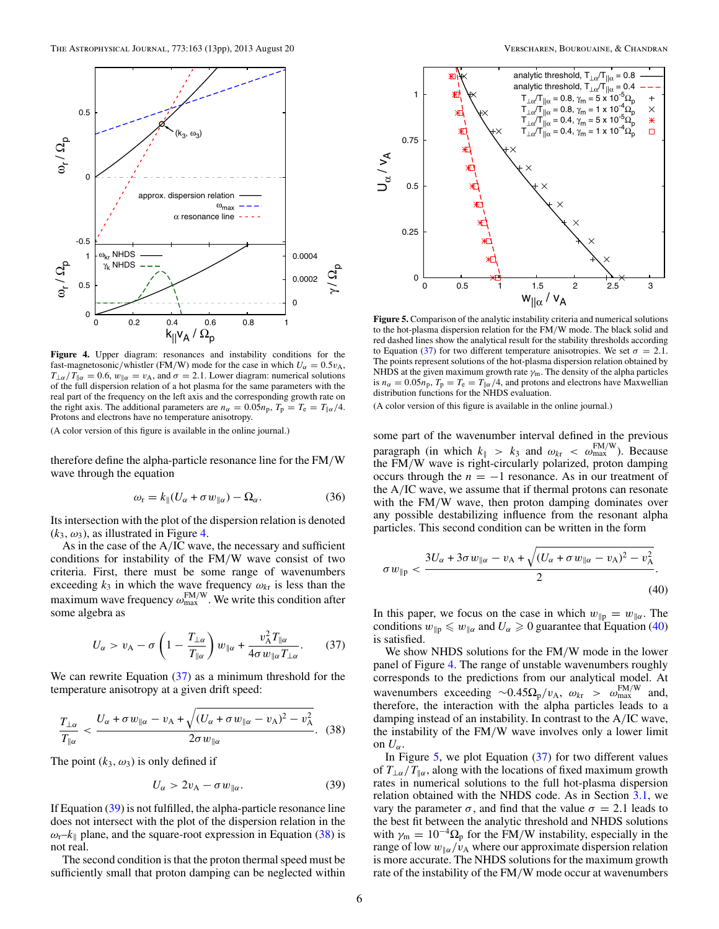<span id="page-5-0"></span>

Figure 4. Upper diagram: resonances and instability conditions for the fast-magnetosonic/whistler (FM/W) mode for the case in which  $U_\alpha = 0.5 v_\text{A}$ ,  $T_{\perp\alpha}/T_{\parallel\alpha} = 0.6$ ,  $w_{\parallel\alpha} = v_A$ , and  $\sigma = 2.1$ . Lower diagram: numerical solutions of the full dispersion relation of a hot plasma for the same parameters with the real part of the frequency on the left axis and the corresponding growth rate on the right axis. The additional parameters are  $n_{\alpha} = 0.05n_{\text{p}}$ ,  $T_{\text{p}} = T_{\text{e}} = T_{\parallel \alpha}/4$ . Protons and electrons have no temperature anisotropy.

therefore define the alpha-particle resonance line for the FM*/*W wave through the equation

$$
\omega_{\rm r} = k_{\parallel} (U_{\alpha} + \sigma w_{\parallel \alpha}) - \Omega_{\alpha}.
$$
 (36)

Its intersection with the plot of the dispersion relation is denoted  $(k_3, \omega_3)$ , as illustrated in Figure 4.

As in the case of the A*/*IC wave, the necessary and sufficient conditions for instability of the FM*/*W wave consist of two criteria. First, there must be some range of wavenumbers exceeding  $k_3$  in which the wave frequency  $\omega_{k\tau}$  is less than the maximum wave frequency  $\omega_{\text{max}}^{\text{FM/W}}$ . We write this condition after some algebra as

$$
U_{\alpha} > v_{A} - \sigma \left( 1 - \frac{T_{\perp \alpha}}{T_{\parallel \alpha}} \right) w_{\parallel \alpha} + \frac{v_{A}^{2} T_{\parallel \alpha}}{4 \sigma w_{\parallel \alpha} T_{\perp \alpha}}. \tag{37}
$$

We can rewrite Equation (37) as a minimum threshold for the temperature anisotropy at a given drift speed:

$$
\frac{T_{\perp\alpha}}{T_{\parallel\alpha}} < \frac{U_{\alpha} + \sigma w_{\parallel\alpha} - v_{\rm A} + \sqrt{(U_{\alpha} + \sigma w_{\parallel\alpha} - v_{\rm A})^2 - v_{\rm A}^2}}{2\sigma w_{\parallel\alpha}}.
$$
 (38)

The point  $(k_3, \omega_3)$  is only defined if

$$
U_{\alpha} > 2v_{A} - \sigma w_{\parallel \alpha}.
$$
 (39)

If Equation (39) is not fulfilled, the alpha-particle resonance line does not intersect with the plot of the dispersion relation in the  $\omega_r - k_{\parallel}$  plane, and the square-root expression in Equation (38) is not real.

The second condition is that the proton thermal speed must be sufficiently small that proton damping can be neglected within



**Figure 5.** Comparison of the analytic instability criteria and numerical solutions to the hot-plasma dispersion relation for the FM*/*W mode. The black solid and red dashed lines show the analytical result for the stability thresholds according to Equation (37) for two different temperature anisotropies. We set  $\sigma = 2.1$ . The points represent solutions of the hot-plasma dispersion relation obtained by NHDS at the given maximum growth rate  $\gamma_m$ . The density of the alpha particles is  $n_{\alpha} = 0.05n_{\text{p}}$ ,  $T_{\text{p}} = T_{\text{e}} = T_{\parallel \alpha}/4$ , and protons and electrons have Maxwellian distribution functions for the NHDS evaluation.

(A color version of this figure is available in the online journal.)

some part of the wavenumber interval defined in the previous paragraph (in which  $k_{\parallel} > k_3$  and  $\omega_{k\tau} < \omega_{\text{max}}^{\text{FM/W}}$ ). Because the FM*/*W wave is right-circularly polarized, proton damping occurs through the  $n = -1$  resonance. As in our treatment of the A*/*IC wave, we assume that if thermal protons can resonate with the FM*/*W wave, then proton damping dominates over any possible destabilizing influence from the resonant alpha particles. This second condition can be written in the form

$$
\sigma w_{\parallel p} < \frac{3U_{\alpha} + 3\sigma w_{\parallel \alpha} - v_{A} + \sqrt{(U_{\alpha} + \sigma w_{\parallel \alpha} - v_{A})^{2} - v_{A}^{2}}}{2}.
$$
\n(40)

In this paper, we focus on the case in which  $w_{\parallel p} = w_{\parallel \alpha}$ . The conditions  $w_{\parallel p} \leq w_{\parallel \alpha}$  and  $U_{\alpha} \geq 0$  guarantee that Equation (40) is satisfied.

We show NHDS solutions for the FM*/*W mode in the lower panel of Figure 4. The range of unstable wavenumbers roughly corresponds to the predictions from our analytical model. At wavenumbers exceeding ~0.45 $\Omega_p/v_A$ ,  $\omega_{kr} > \omega_{max}^{FM/W}$  and, therefore, the interaction with the alpha particles leads to a damping instead of an instability. In contrast to the A*/*IC wave, the instability of the FM*/*W wave involves only a lower limit on  $U_{\alpha}$ .

In Figure 5, we plot Equation  $(37)$  for two different values of *T*⊥*α/T<sup>α</sup>*, along with the locations of fixed maximum growth rates in numerical solutions to the full hot-plasma dispersion relation obtained with the NHDS code. As in Section [3.1,](#page-2-0) we vary the parameter *σ*, and find that the value *σ* = 2*.*1 leads to the best fit between the analytic threshold and NHDS solutions with  $\gamma_{\rm m} = 10^{-4} \Omega_{\rm p}$  for the FM/W instability, especially in the range of low  $w_{\alpha}/v_{\alpha}$  where our approximate dispersion relation is more accurate. The NHDS solutions for the maximum growth rate of the instability of the FM*/*W mode occur at wavenumbers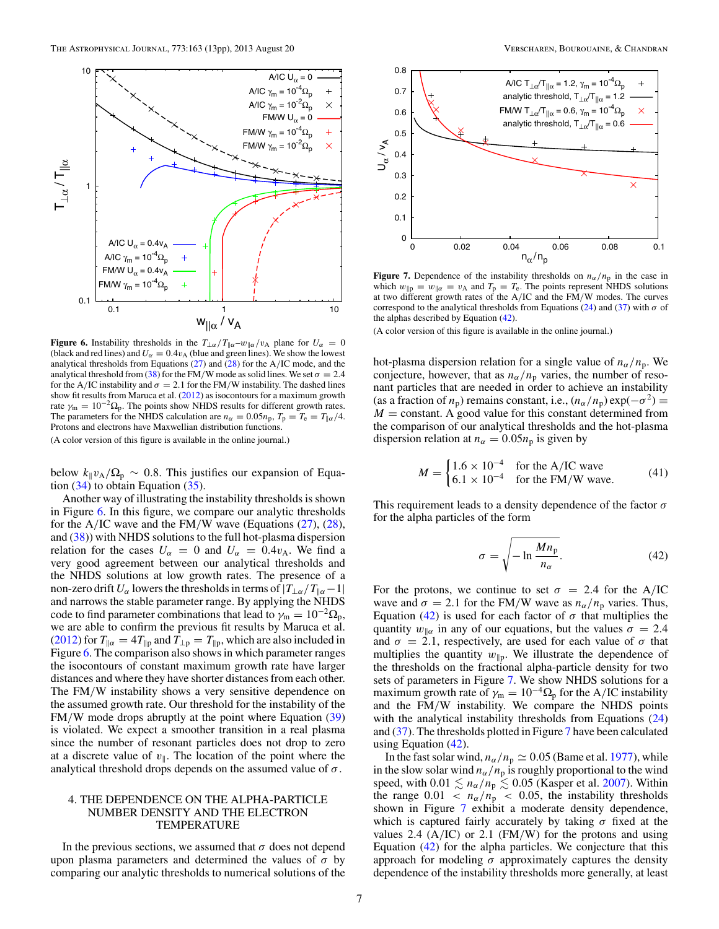<span id="page-6-0"></span>

**Figure 6.** Instability thresholds in the  $T_{\perp\alpha}/T_{\parallel\alpha}-w_{\parallel\alpha}/v_A$  plane for  $U_{\alpha} = 0$ (black and red lines) and  $U_{\alpha} = 0.4 v_{A}$  (blue and green lines). We show the lowest analytical thresholds from Equations [\(27\)](#page-3-0) and [\(28\)](#page-3-0) for the A*/*IC mode, and the analytical threshold from [\(38\)](#page-5-0) for the FM/W mode as solid lines. We set  $\sigma = 2.4$ for the A/IC instability and  $\sigma = 2.1$  for the FM/W instability. The dashed lines show fit results from Maruca et al. [\(2012\)](#page-12-0) as isocontours for a maximum growth rate  $\gamma_{\rm m} = 10^{-2} \Omega_{\rm p}$ . The points show NHDS results for different growth rates. The parameters for the NHDS calculation are  $n_{\alpha} = 0.05n_{\rm p}$ ,  $T_{\rm p} = T_{\rm e} = T_{\parallel \alpha}/4$ . Protons and electrons have Maxwellian distribution functions.

below  $k_{\parallel}v_{\rm A}/\Omega_{\rm p} \sim 0.8$ . This justifies our expansion of Equation  $(34)$  to obtain Equation  $(35)$ .

Another way of illustrating the instability thresholds is shown in Figure 6. In this figure, we compare our analytic thresholds for the A*/*IC wave and the FM*/*W wave (Equations [\(27\)](#page-3-0), [\(28\)](#page-3-0), and [\(38\)](#page-5-0)) with NHDS solutions to the full hot-plasma dispersion relation for the cases  $U_\alpha = 0$  and  $U_\alpha = 0.4v_A$ . We find a very good agreement between our analytical thresholds and the NHDS solutions at low growth rates. The presence of a non-zero drift  $U_\alpha$  lowers the thresholds in terms of  $|T_{\alpha}/T_{\alpha}-1|$ and narrows the stable parameter range. By applying the NHDS code to find parameter combinations that lead to  $\gamma_m = 10^{-2} \Omega_p$ , we are able to confirm the previous fit results by Maruca et al. [\(2012\)](#page-12-0) for  $T_{\parallel \alpha} = 4T_{\parallel p}$  and  $T_{\perp p} = T_{\parallel p}$ , which are also included in Figure 6. The comparison also shows in which parameter ranges the isocontours of constant maximum growth rate have larger distances and where they have shorter distances from each other. The FM*/*W instability shows a very sensitive dependence on the assumed growth rate. Our threshold for the instability of the FM*/*W mode drops abruptly at the point where Equation [\(39\)](#page-5-0) is violated. We expect a smoother transition in a real plasma since the number of resonant particles does not drop to zero at a discrete value of  $v_{\parallel}$ . The location of the point where the analytical threshold drops depends on the assumed value of *σ*.

# 4. THE DEPENDENCE ON THE ALPHA-PARTICLE NUMBER DENSITY AND THE ELECTRON TEMPERATURE

In the previous sections, we assumed that  $\sigma$  does not depend upon plasma parameters and determined the values of  $\sigma$  by comparing our analytic thresholds to numerical solutions of the



**Figure 7.** Dependence of the instability thresholds on  $n_{\alpha}/n_{\text{p}}$  in the case in which  $w_{\parallel p} = w_{\parallel \alpha} = v_A$  and  $T_p = T_e$ . The points represent NHDS solutions at two different growth rates of the A*/*IC and the FM*/*W modes. The curves correspond to the analytical thresholds from Equations [\(24\)](#page-3-0) and [\(37\)](#page-5-0) with  $\sigma$  of the alphas described by Equation (42).

(A color version of this figure is available in the online journal.)

hot-plasma dispersion relation for a single value of  $n_{\alpha}/n_{\rm p}$ . We conjecture, however, that as  $n_{\alpha}/n_{\rm p}$  varies, the number of resonant particles that are needed in order to achieve an instability (as a fraction of  $n_p$ ) remains constant, i.e.,  $(n_\alpha/n_p) \exp(-\sigma^2) \equiv$  $M =$  constant. A good value for this constant determined from the comparison of our analytical thresholds and the hot-plasma dispersion relation at  $n_{\alpha} = 0.05n_{\rm p}$  is given by

$$
M = \begin{cases} 1.6 \times 10^{-4} & \text{for the A/IC wave} \\ 6.1 \times 10^{-4} & \text{for the FM/W wave.} \end{cases}
$$
 (41)

This requirement leads to a density dependence of the factor *σ* for the alpha particles of the form

$$
\sigma = \sqrt{-\ln \frac{M n_{\rm p}}{n_{\alpha}}}.\tag{42}
$$

For the protons, we continue to set  $\sigma = 2.4$  for the A/IC wave and  $\sigma = 2.1$  for the FM/W wave as  $n_{\alpha}/n_{\rm p}$  varies. Thus, Equation (42) is used for each factor of  $\sigma$  that multiplies the quantity  $w_{\parallel \alpha}$  in any of our equations, but the values  $\sigma = 2.4$ and  $\sigma = 2.1$ , respectively, are used for each value of  $\sigma$  that multiplies the quantity  $w_{\parallel p}$ . We illustrate the dependence of the thresholds on the fractional alpha-particle density for two sets of parameters in Figure 7. We show NHDS solutions for a maximum growth rate of  $\gamma_m = 10^{-4} \Omega_p$  for the A/IC instability and the FM*/*W instability. We compare the NHDS points with the analytical instability thresholds from Equations [\(24\)](#page-3-0) and [\(37\)](#page-5-0). The thresholds plotted in Figure 7 have been calculated using Equation  $(42)$ .

In the fast solar wind,  $n_{\alpha}/n_{\rm p} \simeq 0.05$  (Bame et al. [1977\)](#page-11-0), while in the slow solar wind  $n_\alpha/n_p$  is roughly proportional to the wind speed, with  $0.01 \lesssim n_{\alpha}/n_{\rm p} \lesssim 0.05$  (Kasper et al. [2007\)](#page-12-0). Within the range  $0.01 < n_\alpha/n_p < 0.05$ , the instability thresholds shown in Figure 7 exhibit a moderate density dependence, which is captured fairly accurately by taking *σ* fixed at the values 2.4 (A*/*IC) or 2.1 (FM*/*W) for the protons and using Equation (42) for the alpha particles. We conjecture that this approach for modeling  $\sigma$  approximately captures the density dependence of the instability thresholds more generally, at least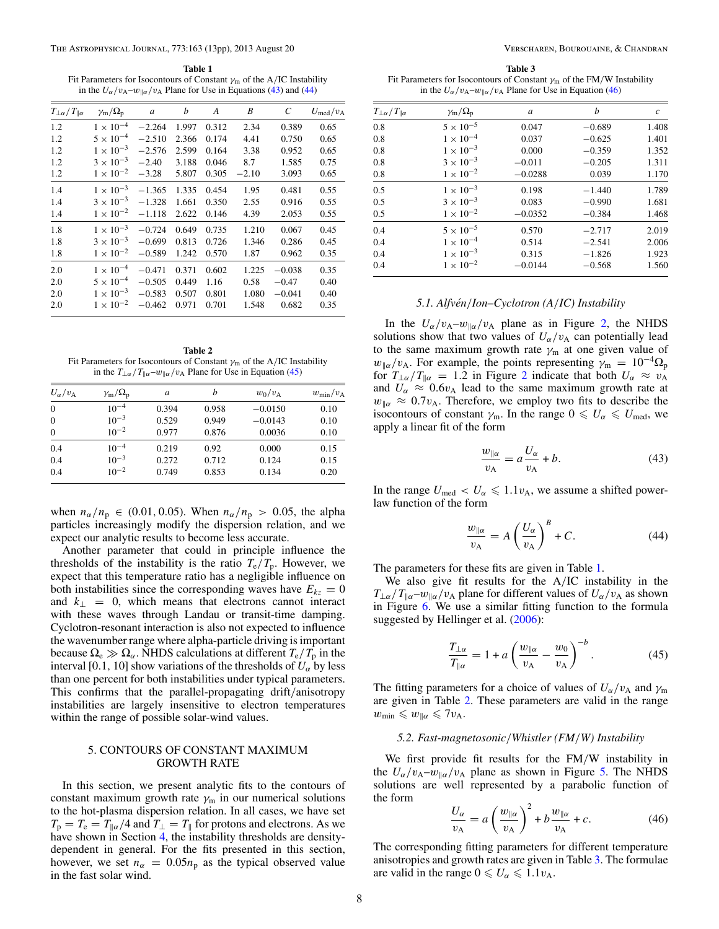<span id="page-7-0"></span>**Table 1** Fit Parameters for Isocontours of Constant *γ*<sup>m</sup> of the A*/*IC Instability in the  $U_\alpha/v_A-w_{\parallel\alpha}/v_A$  Plane for Use in Equations (43) and (44)

| $T_{\perp\alpha}/T_{\parallel\alpha}$ | $\gamma_{\rm m}/\Omega_{\rm p}$ | $\boldsymbol{a}$ | b     | A     | B       | C        | $U_{\text{med}}/v_{\text{A}}$ |
|---------------------------------------|---------------------------------|------------------|-------|-------|---------|----------|-------------------------------|
| 1.2                                   | $1\times10^{-4}$                | $-2.264$         | 1.997 | 0.312 | 2.34    | 0.389    | 0.65                          |
| 1.2                                   | $5\times10^{-4}$                | $-2.510$         | 2.366 | 0.174 | 4.41    | 0.750    | 0.65                          |
| 1.2                                   | $1 \times 10^{-3}$              | $-2.576$         | 2.599 | 0.164 | 3.38    | 0.952    | 0.65                          |
| 1.2                                   | $3 \times 10^{-3}$              | $-2.40$          | 3.188 | 0.046 | 8.7     | 1.585    | 0.75                          |
| 1.2                                   | $1 \times 10^{-2}$              | $-3.28$          | 5.807 | 0.305 | $-2.10$ | 3.093    | 0.65                          |
| 1.4                                   | $1 \times 10^{-3}$              | $-1.365$         | 1.335 | 0.454 | 1.95    | 0.481    | 0.55                          |
| 1.4                                   | $3 \times 10^{-3}$              | $-1.328$         | 1.661 | 0.350 | 2.55    | 0.916    | 0.55                          |
| 1.4                                   | $1 \times 10^{-2}$              | $-1.118$         | 2.622 | 0.146 | 4.39    | 2.053    | 0.55                          |
| 1.8                                   | $1\times10^{-3}$                | $-0.724$         | 0.649 | 0.735 | 1.210   | 0.067    | 0.45                          |
| 1.8                                   | $3 \times 10^{-3}$              | $-0.699$         | 0.813 | 0.726 | 1.346   | 0.286    | 0.45                          |
| 1.8                                   | $1 \times 10^{-2}$              | $-0.589$         | 1.242 | 0.570 | 1.87    | 0.962    | 0.35                          |
| 2.0                                   | $1 \times 10^{-4}$              | $-0.471$         | 0.371 | 0.602 | 1.225   | $-0.038$ | 0.35                          |
| 2.0                                   | $5 \times 10^{-4}$              | $-0.505$         | 0.449 | 1.16  | 0.58    | $-0.47$  | 0.40                          |
| 2.0                                   | $1 \times 10^{-3}$              | $-0.583$         | 0.507 | 0.801 | 1.080   | $-0.041$ | 0.40                          |
| 2.0                                   | $1 \times 10^{-2}$              | $-0.462$         | 0.971 | 0.701 | 1.548   | 0.682    | 0.35                          |
|                                       |                                 |                  |       |       |         |          |                               |

**Table 2** Fit Parameters for Isocontours of Constant *γ*<sup>m</sup> of the A*/*IC Instability in the  $T_{\perp\alpha}/T_{\parallel\alpha}$ –*w*<sub>|| $\alpha$ </sub>/*v*<sub>A</sub> Plane for Use in Equation (45)

| $U_{\alpha}/v_{\rm A}$ | $\gamma_{\rm m}/\Omega_{\rm p}$ | a     | b     | $w_0/v_A$ | $w_{\min}/v_{\rm A}$ |
|------------------------|---------------------------------|-------|-------|-----------|----------------------|
| $\theta$               | $10^{-4}$                       | 0.394 | 0.958 | $-0.0150$ | 0.10                 |
| $\theta$               | $10^{-3}$                       | 0.529 | 0.949 | $-0.0143$ | 0.10                 |
| $\theta$               | $10^{-2}$                       | 0.977 | 0.876 | 0.0036    | 0.10                 |
| 0.4                    | $10^{-4}$                       | 0.219 | 0.92  | 0.000     | 0.15                 |
| 0.4                    | $10^{-3}$                       | 0.272 | 0.712 | 0.124     | 0.15                 |
| 0.4                    | $10^{-2}$                       | 0.749 | 0.853 | 0.134     | 0.20                 |
|                        |                                 |       |       |           |                      |

when  $n_{\alpha}/n_{\text{p}} \in (0.01, 0.05)$ . When  $n_{\alpha}/n_{\text{p}} > 0.05$ , the alpha particles increasingly modify the dispersion relation, and we expect our analytic results to become less accurate.

Another parameter that could in principle influence the thresholds of the instability is the ratio  $T_e/T_p$ . However, we expect that this temperature ratio has a negligible influence on both instabilities since the corresponding waves have  $E_{kz} = 0$ and  $k_{\perp} = 0$ , which means that electrons cannot interact with these waves through Landau or transit-time damping. Cyclotron-resonant interaction is also not expected to influence the wavenumber range where alpha-particle driving is important because  $\Omega_e \gg \Omega_\alpha$ . NHDS calculations at different  $T_e/T_p$  in the interval [0.1, 10] show variations of the thresholds of  $U_{\alpha}$  by less than one percent for both instabilities under typical parameters. This confirms that the parallel-propagating drift*/*anisotropy instabilities are largely insensitive to electron temperatures within the range of possible solar-wind values.

## 5. CONTOURS OF CONSTANT MAXIMUM GROWTH RATE

In this section, we present analytic fits to the contours of constant maximum growth rate  $\gamma_m$  in our numerical solutions to the hot-plasma dispersion relation. In all cases, we have set  $T_p = T_e = T_{\parallel \alpha}/4$  and  $T_{\perp} = T_{\parallel}$  for protons and electrons. As we have shown in Section [4,](#page-6-0) the instability thresholds are densitydependent in general. For the fits presented in this section, however, we set  $n_{\alpha} = 0.05n_{\text{p}}$  as the typical observed value in the fast solar wind.

**Table 3** Fit Parameters for Isocontours of Constant *γ*<sup>m</sup> of the FM*/*W Instability in the  $U_\alpha/v_A-w_{\parallel \alpha}/v_A$  Plane for Use in Equation (46)

| $T_{\perp\alpha}/T_{\parallel\alpha}$ | $\gamma_{\rm m}/\Omega_{\rm p}$ | a         | h        | $\boldsymbol{c}$ |
|---------------------------------------|---------------------------------|-----------|----------|------------------|
| 0.8                                   | $5\times10^{-5}$                | 0.047     | $-0.689$ | 1.408            |
| 0.8                                   | $1 \times 10^{-4}$              | 0.037     | $-0.625$ | 1.401            |
| 0.8                                   | $1 \times 10^{-3}$              | 0.000     | $-0.359$ | 1.352            |
| 0.8                                   | $3 \times 10^{-3}$              | $-0.011$  | $-0.205$ | 1.311            |
| 0.8                                   | $1 \times 10^{-2}$              | $-0.0288$ | 0.039    | 1.170            |
| 0.5                                   | $1 \times 10^{-3}$              | 0.198     | $-1.440$ | 1.789            |
| 0.5                                   | $3 \times 10^{-3}$              | 0.083     | $-0.990$ | 1.681            |
| 0.5                                   | $1 \times 10^{-2}$              | $-0.0352$ | $-0.384$ | 1.468            |
| 0.4                                   | $5 \times 10^{-5}$              | 0.570     | $-2.717$ | 2.019            |
| 0.4                                   | $1 \times 10^{-4}$              | 0.514     | $-2.541$ | 2.006            |
| 0.4                                   | $1 \times 10^{-3}$              | 0.315     | $-1.826$ | 1.923            |
| 0.4                                   | $1 \times 10^{-2}$              | $-0.0144$ | $-0.568$ | 1.560            |

### *5.1. Alfven´ /Ion–Cyclotron (A/IC) Instability*

In the  $U_{\alpha}/v_{A}-w_{\alpha}/v_{A}$  plane as in Figure [2,](#page-4-0) the NHDS solutions show that two values of  $U_\alpha/v_A$  can potentially lead to the same maximum growth rate  $\gamma_m$  at one given value of  $w_{\alpha}/v_{A}$ . For example, the points representing  $\gamma_{m} = 10^{-4} \Omega_{p}$ for  $T_{\perp\alpha}/T_{\parallel\alpha} = 1.2$  $T_{\perp\alpha}/T_{\parallel\alpha} = 1.2$  in Figure 2 indicate that both  $U_{\alpha} \approx v_{A}$ and  $U_{\alpha} \approx 0.6v_{A}$  lead to the same maximum growth rate at  $w_{\alpha} \approx 0.7 v_{\rm A}$ . Therefore, we employ two fits to describe the isocontours of constant  $\gamma_m$ . In the range  $0 \le U_\alpha \le U_{\text{med}}$ , we apply a linear fit of the form

$$
\frac{w_{\parallel\alpha}}{v_{\text{A}}} = a \frac{U_{\alpha}}{v_{\text{A}}} + b. \tag{43}
$$

In the range  $U_{\text{med}} < U_{\alpha} \leq 1.1 v_{\text{A}}$ , we assume a shifted powerlaw function of the form

$$
\frac{w_{\parallel\alpha}}{v_{\rm A}} = A \left(\frac{U_{\alpha}}{v_{\rm A}}\right)^B + C. \tag{44}
$$

The parameters for these fits are given in Table 1.

We also give fit results for the A*/*IC instability in the  $T_{\perp\alpha}/T_{\parallel\alpha}$ –*w*<sub>*llα</sub>*/*v*<sub>A</sub> plane for different values of  $U_{\alpha}/v_{A}$  as shown</sub> in Figure [6.](#page-6-0) We use a similar fitting function to the formula suggested by Hellinger et al. [\(2006\)](#page-12-0):

$$
\frac{T_{\perp\alpha}}{T_{\parallel\alpha}} = 1 + a \left(\frac{w_{\parallel\alpha}}{v_{\rm A}} - \frac{w_0}{v_{\rm A}}\right)^{-b}.
$$
 (45)

The fitting parameters for a choice of values of  $U_\alpha/v_A$  and  $\gamma_m$ are given in Table 2. These parameters are valid in the range  $w_{\min} \leqslant w_{\parallel \alpha} \leqslant 7v_{\mathrm{A}}.$ 

### *5.2. Fast-magnetosonic/Whistler (FM/W) Instability*

We first provide fit results for the FM*/*W instability in the  $U_{\alpha}/v_{A}-w_{\alpha}/v_{A}$  plane as shown in Figure [5.](#page-5-0) The NHDS solutions are well represented by a parabolic function of the form

$$
\frac{U_{\alpha}}{v_{\mathcal{A}}} = a \left(\frac{w_{\parallel \alpha}}{v_{\mathcal{A}}}\right)^2 + b \frac{w_{\parallel \alpha}}{v_{\mathcal{A}}} + c. \tag{46}
$$

The corresponding fitting parameters for different temperature anisotropies and growth rates are given in Table 3. The formulae are valid in the range  $0 \le U_\alpha \le 1.1 v_A$ .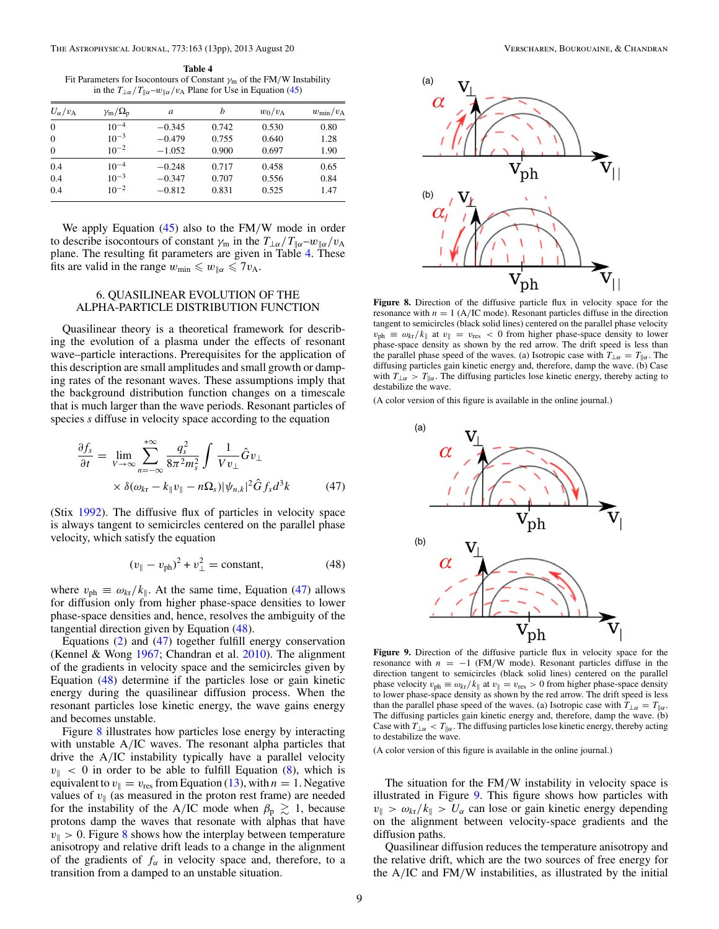<span id="page-8-0"></span>**Table 4** Fit Parameters for Isocontours of Constant *γ*<sup>m</sup> of the FM*/*W Instability in the  $T_{\perp\alpha}/T_{\parallel\alpha}$ –*w*<sub> $\parallel\alpha$ </sub>/*v*<sub>A</sub> Plane for Use in Equation [\(45\)](#page-7-0)

| $U_{\alpha}/v_{\rm A}$ | $\gamma_{\rm m}/\Omega_{\rm p}$ | a        | b     | $w_0/v_A$ | $w_{\min}/v_{\rm A}$ |
|------------------------|---------------------------------|----------|-------|-----------|----------------------|
| $\overline{0}$         | $10^{-4}$                       | $-0.345$ | 0.742 | 0.530     | 0.80                 |
| $\theta$               | $10^{-3}$                       | $-0.479$ | 0.755 | 0.640     | 1.28                 |
| $\theta$               | $10^{-2}$                       | $-1.052$ | 0.900 | 0.697     | 1.90                 |
| 0.4                    | $10^{-4}$                       | $-0.248$ | 0.717 | 0.458     | 0.65                 |
| 0.4                    | $10^{-3}$                       | $-0.347$ | 0.707 | 0.556     | 0.84                 |
| 0.4                    | $10^{-2}$                       | $-0.812$ | 0.831 | 0.525     | 1.47                 |
|                        |                                 |          |       |           |                      |

We apply Equation [\(45\)](#page-7-0) also to the FM*/*W mode in order to describe isocontours of constant  $\gamma_m$  in the  $T_{\perp\alpha}/T_{\parallel\alpha} - w_{\parallel\alpha}/v_A$ plane. The resulting fit parameters are given in Table 4. These fits are valid in the range  $w_{\text{min}} \leq w_{\parallel \alpha} \leq 7v_A$ .

# 6. QUASILINEAR EVOLUTION OF THE ALPHA-PARTICLE DISTRIBUTION FUNCTION

Quasilinear theory is a theoretical framework for describing the evolution of a plasma under the effects of resonant wave–particle interactions. Prerequisites for the application of this description are small amplitudes and small growth or damping rates of the resonant waves. These assumptions imply that the background distribution function changes on a timescale that is much larger than the wave periods. Resonant particles of species *s* diffuse in velocity space according to the equation

$$
\frac{\partial f_s}{\partial t} = \lim_{V \to \infty} \sum_{n = -\infty}^{+\infty} \frac{q_s^2}{8\pi^2 m_s^2} \int \frac{1}{V v_\perp} \hat{G} v_\perp
$$

$$
\times \delta(\omega_{kr} - k_{\parallel} v_{\parallel} - n\Omega_s) |\psi_{n,k}|^2 \hat{G} f_s d^3k \tag{47}
$$

(Stix [1992\)](#page-12-0). The diffusive flux of particles in velocity space is always tangent to semicircles centered on the parallel phase velocity, which satisfy the equation

$$
(v_{\parallel} - v_{\rm ph})^2 + v_{\perp}^2 = \text{constant},
$$
 (48)

where  $v_{\text{ph}} \equiv \omega_{\text{kr}}/k_{\parallel}$ . At the same time, Equation (47) allows for diffusion only from higher phase-space densities to lower phase-space densities and, hence, resolves the ambiguity of the tangential direction given by Equation (48).

Equations [\(2\)](#page-1-0) and (47) together fulfill energy conservation (Kennel & Wong [1967;](#page-12-0) Chandran et al. [2010\)](#page-11-0). The alignment of the gradients in velocity space and the semicircles given by Equation (48) determine if the particles lose or gain kinetic energy during the quasilinear diffusion process. When the resonant particles lose kinetic energy, the wave gains energy and becomes unstable.

Figure 8 illustrates how particles lose energy by interacting with unstable A*/*IC waves. The resonant alpha particles that drive the A*/*IC instability typically have a parallel velocity  $v_{\parallel}$  < 0 in order to be able to fulfill Equation [\(8\)](#page-1-0), which is equivalent to  $v_{\parallel} = v_{\text{res}}$  from Equation [\(13\)](#page-1-0), with  $n = 1$ . Negative values of  $v_{\parallel}$  (as measured in the proton rest frame) are needed for the instability of the A/IC mode when  $\beta_p \gtrsim 1$ , because protons damp the waves that resonate with alphas that have  $v_{\parallel} > 0$ . Figure 8 shows how the interplay between temperature anisotropy and relative drift leads to a change in the alignment of the gradients of  $f_\alpha$  in velocity space and, therefore, to a transition from a damped to an unstable situation.



**Figure 8.** Direction of the diffusive particle flux in velocity space for the resonance with  $n = 1$  (A/IC mode). Resonant particles diffuse in the direction tangent to semicircles (black solid lines) centered on the parallel phase velocity  $v_{ph} \equiv \omega_{kt}/k_{\parallel}$  at  $v_{\parallel} = v_{res} < 0$  from higher phase-space density to lower phase-space density as shown by the red arrow. The drift speed is less than the parallel phase speed of the waves. (a) Isotropic case with  $T_{\perp \alpha} = T_{\parallel \alpha}$ . The diffusing particles gain kinetic energy and, therefore, damp the wave. (b) Case with  $T_{\perp \alpha} > T_{\parallel \alpha}$ . The diffusing particles lose kinetic energy, thereby acting to destabilize the wave.

(A color version of this figure is available in the online journal.)



**Figure 9.** Direction of the diffusive particle flux in velocity space for the resonance with  $n = -1$  (FM/W mode). Resonant particles diffuse in the direction tangent to semicircles (black solid lines) centered on the parallel phase velocity  $v_{ph} \equiv \omega_{kr}/k_{\parallel}$  at  $v_{\parallel} = v_{res} > 0$  from higher phase-space density to lower phase-space density as shown by the red arrow. The drift speed is less than the parallel phase speed of the waves. (a) Isotropic case with  $T_{\perp\alpha} = T_{\parallel\alpha}$ . The diffusing particles gain kinetic energy and, therefore, damp the wave. (b) Case with  $T_{\perp \alpha} < T_{\parallel \alpha}$ . The diffusing particles lose kinetic energy, thereby acting to destabilize the wave.

(A color version of this figure is available in the online journal.)

The situation for the FM*/*W instability in velocity space is illustrated in Figure 9. This figure shows how particles with  $v_{\parallel} > \omega_{\text{kr}}/k_{\parallel} > U_{\alpha}$  can lose or gain kinetic energy depending on the alignment between velocity-space gradients and the diffusion paths.

Quasilinear diffusion reduces the temperature anisotropy and the relative drift, which are the two sources of free energy for the A*/*IC and FM*/*W instabilities, as illustrated by the initial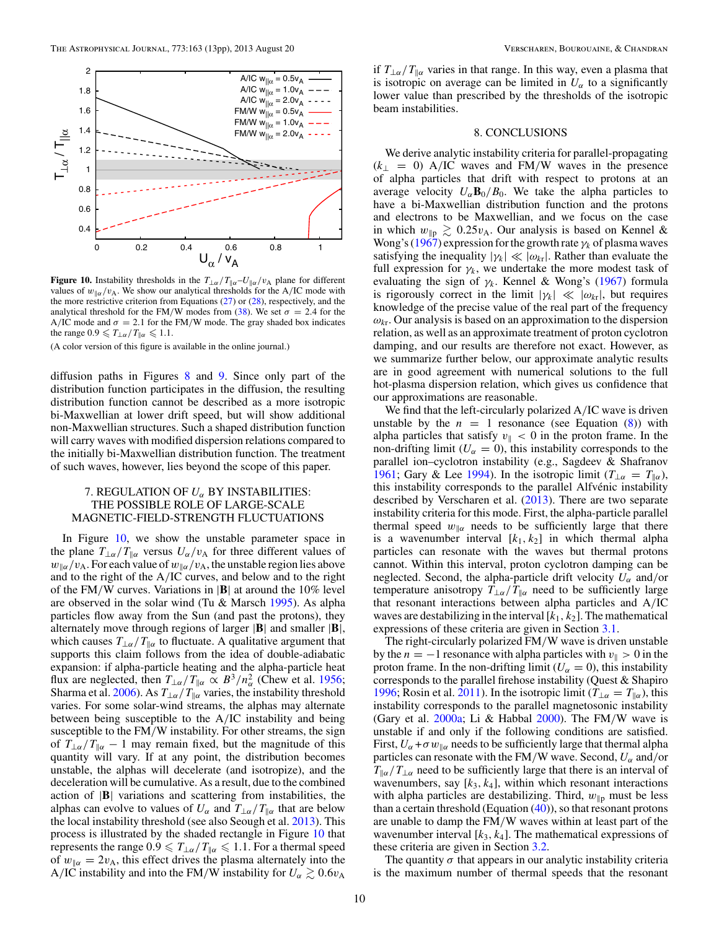<span id="page-9-0"></span>

**Figure 10.** Instability thresholds in the  $T_{\perp\alpha}/T_{\parallel\alpha}-U_{\parallel\alpha}/v_A$  plane for different values of  $w_{\parallel \alpha}/v_{\rm A}$ . We show our analytical thresholds for the A/IC mode with the more restrictive criterion from Equations [\(27\)](#page-3-0) or [\(28\)](#page-3-0), respectively, and the analytical threshold for the FM/W modes from [\(38\)](#page-5-0). We set  $\sigma = 2.4$  for the A/IC mode and  $\sigma = 2.1$  for the FM/W mode. The gray shaded box indicates the range  $0.9 \leq T_{\perp \alpha}/T_{\parallel \alpha} \leq 1.1$ .

diffusion paths in Figures [8](#page-8-0) and [9.](#page-8-0) Since only part of the distribution function participates in the diffusion, the resulting distribution function cannot be described as a more isotropic bi-Maxwellian at lower drift speed, but will show additional non-Maxwellian structures. Such a shaped distribution function will carry waves with modified dispersion relations compared to the initially bi-Maxwellian distribution function. The treatment of such waves, however, lies beyond the scope of this paper.

## 7. REGULATION OF *Uα* BY INSTABILITIES: THE POSSIBLE ROLE OF LARGE-SCALE MAGNETIC-FIELD-STRENGTH FLUCTUATIONS

In Figure 10, we show the unstable parameter space in the plane  $T_{\perp\alpha}/T_{\parallel\alpha}$  versus  $U_{\alpha}/v_{A}$  for three different values of  $w_{\alpha}/v_{A}$ . For each value of  $w_{\alpha}/v_{A}$ , the unstable region lies above and to the right of the A*/*IC curves, and below and to the right of the FM*/*W curves. Variations in |**B**| at around the 10% level are observed in the solar wind (Tu & Marsch [1995\)](#page-12-0). As alpha particles flow away from the Sun (and past the protons), they alternately move through regions of larger |**B**| and smaller |**B**|, which causes  $T_{\perp\alpha}/T_{\parallel\alpha}$  to fluctuate. A qualitative argument that supports this claim follows from the idea of double-adiabatic expansion: if alpha-particle heating and the alpha-particle heat flux are neglected, then  $T_{\perp\alpha}/T_{\parallel\alpha} \propto B^3/n_{\alpha}^2$  (Chew et al. [1956;](#page-11-0) Sharma et al. [2006\)](#page-12-0). As  $T_{\perp\alpha}/T_{\parallel\alpha}$  varies, the instability threshold varies. For some solar-wind streams, the alphas may alternate between being susceptible to the A*/*IC instability and being susceptible to the FM*/*W instability. For other streams, the sign of  $T_{\perp\alpha}/T_{\parallel\alpha} - 1$  may remain fixed, but the magnitude of this quantity will vary. If at any point, the distribution becomes unstable, the alphas will decelerate (and isotropize), and the deceleration will be cumulative. As a result, due to the combined action of |**B**| variations and scattering from instabilities, the alphas can evolve to values of  $U_\alpha$  and  $T_{\perp \alpha}/T_{\parallel \alpha}$  that are below the local instability threshold (see also Seough et al. [2013\)](#page-12-0). This process is illustrated by the shaded rectangle in Figure 10 that represents the range  $0.9 \leq T_{\perp \alpha}/T_{\parallel \alpha} \leq 1.1$ . For a thermal speed of  $w_{\parallel \alpha} = 2v_{\text{A}}$ , this effect drives the plasma alternately into the A/IC instability and into the FM/W instability for  $U_{\alpha} \gtrsim 0.6 v_{A}$ 

if  $T_{\perp \alpha}/T_{\parallel \alpha}$  varies in that range. In this way, even a plasma that is isotropic on average can be limited in  $U_{\alpha}$  to a significantly lower value than prescribed by the thresholds of the isotropic beam instabilities.

#### 8. CONCLUSIONS

We derive analytic instability criteria for parallel-propagating (*k*<sup>⊥</sup> = 0) A*/*IC waves and FM*/*W waves in the presence of alpha particles that drift with respect to protons at an average velocity  $U_{\alpha}$ **B**<sub>0</sub>/B<sub>0</sub>. We take the alpha particles to have a bi-Maxwellian distribution function and the protons and electrons to be Maxwellian, and we focus on the case in which  $w_{\parallel p} \gtrsim 0.25 v_{\text{A}}$ . Our analysis is based on Kennel & Wong's [\(1967\)](#page-12-0) expression for the growth rate *γk* of plasma waves satisfying the inequality  $|\gamma_k| \ll |\omega_{kI}|$ . Rather than evaluate the full expression for  $\gamma_k$ , we undertake the more modest task of evaluating the sign of  $\gamma_k$ . Kennel & Wong's [\(1967\)](#page-12-0) formula is rigorously correct in the limit  $|\gamma_k| \ll |\omega_{kr}|$ , but requires knowledge of the precise value of the real part of the frequency  $\omega_{\text{kr}}$ . Our analysis is based on an approximation to the dispersion relation, as well as an approximate treatment of proton cyclotron damping, and our results are therefore not exact. However, as we summarize further below, our approximate analytic results are in good agreement with numerical solutions to the full hot-plasma dispersion relation, which gives us confidence that our approximations are reasonable.

We find that the left-circularly polarized A*/*IC wave is driven unstable by the  $n = 1$  resonance (see Equation  $(8)$ ) with alpha particles that satisfy  $v_{\parallel} < 0$  in the proton frame. In the non-drifting limit ( $U_{\alpha} = 0$ ), this instability corresponds to the parallel ion–cyclotron instability (e.g., Sagdeev & Shafranov [1961;](#page-12-0) Gary & Lee [1994\)](#page-11-0). In the isotropic limit ( $T_{\perp \alpha} = T_{\parallel \alpha}$ ), this instability corresponds to the parallel Alfvénic instability described by Verscharen et al. [\(2013\)](#page-12-0). There are two separate instability criteria for this mode. First, the alpha-particle parallel thermal speed  $w_{\alpha}$  needs to be sufficiently large that there is a wavenumber interval [*k*1*, k*2] in which thermal alpha particles can resonate with the waves but thermal protons cannot. Within this interval, proton cyclotron damping can be neglected. Second, the alpha-particle drift velocity  $U_{\alpha}$  and/or temperature anisotropy  $T_{\perp\alpha}/T_{\parallel\alpha}$  need to be sufficiently large that resonant interactions between alpha particles and A*/*IC waves are destabilizing in the interval [*k*1*, k*2]. The mathematical expressions of these criteria are given in Section [3.1.](#page-2-0)

The right-circularly polarized FM*/*W wave is driven unstable by the  $n = -1$  resonance with alpha particles with  $v_{\parallel} > 0$  in the proton frame. In the non-drifting limit ( $U_{\alpha} = 0$ ), this instability corresponds to the parallel firehose instability (Quest & Shapiro [1996;](#page-12-0) Rosin et al. [2011\)](#page-12-0). In the isotropic limit ( $T_{\perp \alpha} = T_{\parallel \alpha}$ ), this instability corresponds to the parallel magnetosonic instability (Gary et al. [2000a;](#page-11-0) Li & Habbal [2000\)](#page-12-0). The FM*/*W wave is unstable if and only if the following conditions are satisfied. First,  $U_{\alpha} + \sigma w_{\parallel \alpha}$  needs to be sufficiently large that thermal alpha particles can resonate with the FM*/*W wave. Second, *Uα* and*/*or  $T_{\alpha}/T_{\alpha}$  need to be sufficiently large that there is an interval of wavenumbers, say  $[k_3, k_4]$ , within which resonant interactions with alpha particles are destabilizing. Third,  $w_{\parallel p}$  must be less than a certain threshold (Equation  $(40)$ ), so that resonant protons are unable to damp the FM*/*W waves within at least part of the wavenumber interval  $[k_3, k_4]$ . The mathematical expressions of these criteria are given in Section [3.2.](#page-4-0)

The quantity  $\sigma$  that appears in our analytic instability criteria is the maximum number of thermal speeds that the resonant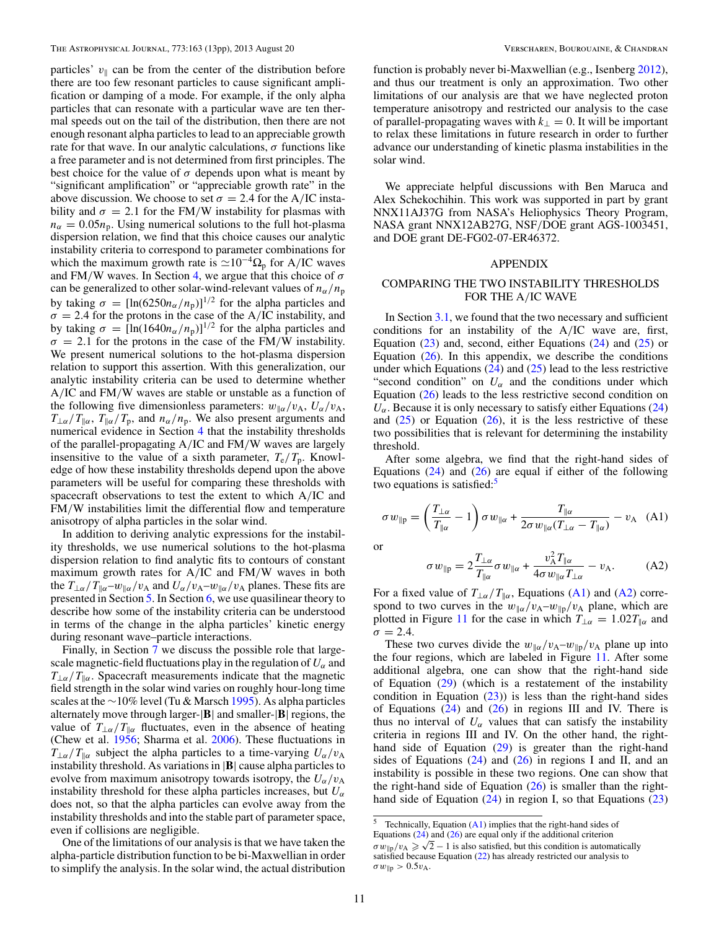<span id="page-10-0"></span>particles'  $v_{\parallel}$  can be from the center of the distribution before there are too few resonant particles to cause significant amplification or damping of a mode. For example, if the only alpha particles that can resonate with a particular wave are ten thermal speeds out on the tail of the distribution, then there are not enough resonant alpha particles to lead to an appreciable growth rate for that wave. In our analytic calculations,  $\sigma$  functions like a free parameter and is not determined from first principles. The best choice for the value of  $\sigma$  depends upon what is meant by "significant amplification" or "appreciable growth rate" in the above discussion. We choose to set  $\sigma = 2.4$  for the A/IC instability and  $\sigma = 2.1$  for the FM/W instability for plasmas with  $n_{\alpha} = 0.05n_{\rm p}$ . Using numerical solutions to the full hot-plasma dispersion relation, we find that this choice causes our analytic instability criteria to correspond to parameter combinations for which the maximum growth rate is  $\approx 10^{-4} \Omega_p$  for A/IC waves and FM*/*W waves. In Section [4,](#page-6-0) we argue that this choice of *σ* can be generalized to other solar-wind-relevant values of  $n_\alpha/n_p$ by taking  $\sigma = [\ln(6250n_{\alpha}/n_{\rm p})]^{1/2}$  for the alpha particles and  $\sigma = 2.4$  for the protons in the case of the A/IC instability, and by taking  $\sigma = [\ln(1640n_{\alpha}/n_{\rm p})]^{1/2}$  for the alpha particles and  $\sigma = 2.1$  for the protons in the case of the FM/W instability. We present numerical solutions to the hot-plasma dispersion relation to support this assertion. With this generalization, our analytic instability criteria can be used to determine whether A*/*IC and FM*/*W waves are stable or unstable as a function of the following five dimensionless parameters:  $w_{\alpha}/v_{A}$ ,  $U_{\alpha}/v_{A}$ ,  $T_{\perp\alpha}/T_{\parallel\alpha}$ ,  $T_{\parallel\alpha}/T_p$ , and  $n_{\alpha}/n_p$ . We also present arguments and numerical evidence in Section [4](#page-6-0) that the instability thresholds of the parallel-propagating A*/*IC and FM*/*W waves are largely insensitive to the value of a sixth parameter,  $T_e/T_p$ . Knowledge of how these instability thresholds depend upon the above parameters will be useful for comparing these thresholds with spacecraft observations to test the extent to which A*/*IC and FM*/*W instabilities limit the differential flow and temperature anisotropy of alpha particles in the solar wind.

In addition to deriving analytic expressions for the instability thresholds, we use numerical solutions to the hot-plasma dispersion relation to find analytic fits to contours of constant maximum growth rates for A*/*IC and FM*/*W waves in both the  $T_{\perp\alpha}/T_{\parallel\alpha}$ –*w*<sub>||α</sub>/*v*<sub>A</sub> and  $U_{\alpha}/v_{A}$ –*w*<sub>||α</sub>/*v*<sub>A</sub> planes. These fits are presented in Section [5.](#page-7-0) In Section [6,](#page-8-0) we use quasilinear theory to describe how some of the instability criteria can be understood in terms of the change in the alpha particles' kinetic energy during resonant wave–particle interactions.

Finally, in Section [7](#page-9-0) we discuss the possible role that largescale magnetic-field fluctuations play in the regulation of  $U_\alpha$  and  $T_{\perp\alpha}/T_{\parallel\alpha}$ . Spacecraft measurements indicate that the magnetic field strength in the solar wind varies on roughly hour-long time scales at the ∼10% level (Tu & Marsch [1995\)](#page-12-0). As alpha particles alternately move through larger-|**B**| and smaller-|**B**| regions, the value of  $T_{\perp\alpha}/T_{\parallel\alpha}$  fluctuates, even in the absence of heating (Chew et al. [1956;](#page-11-0) Sharma et al. [2006\)](#page-12-0). These fluctuations in  $T_{\perp\alpha}/T_{\parallel\alpha}$  subject the alpha particles to a time-varying  $U_{\alpha}/v_{\rm A}$ instability threshold. As variations in |**B**| cause alpha particles to evolve from maximum anisotropy towards isotropy, the  $U_{\alpha}/v_{A}$ instability threshold for these alpha particles increases, but  $U_{\alpha}$ does not, so that the alpha particles can evolve away from the instability thresholds and into the stable part of parameter space, even if collisions are negligible.

One of the limitations of our analysis is that we have taken the alpha-particle distribution function to be bi-Maxwellian in order to simplify the analysis. In the solar wind, the actual distribution

function is probably never bi-Maxwellian (e.g., Isenberg [2012\)](#page-12-0), and thus our treatment is only an approximation. Two other limitations of our analysis are that we have neglected proton temperature anisotropy and restricted our analysis to the case of parallel-propagating waves with  $k_{\perp} = 0$ . It will be important to relax these limitations in future research in order to further advance our understanding of kinetic plasma instabilities in the solar wind.

We appreciate helpful discussions with Ben Maruca and Alex Schekochihin. This work was supported in part by grant NNX11AJ37G from NASA's Heliophysics Theory Program, NASA grant NNX12AB27G, NSF*/*DOE grant AGS-1003451, and DOE grant DE-FG02-07-ER46372.

# APPENDIX

# COMPARING THE TWO INSTABILITY THRESHOLDS FOR THE A*/*IC WAVE

In Section [3.1,](#page-2-0) we found that the two necessary and sufficient conditions for an instability of the A*/*IC wave are, first, Equation  $(23)$  and, second, either Equations  $(24)$  and  $(25)$  or Equation  $(26)$ . In this appendix, we describe the conditions under which Equations  $(24)$  and  $(25)$  lead to the less restrictive "second condition" on  $U_\alpha$  and the conditions under which Equation [\(26\)](#page-3-0) leads to the less restrictive second condition on  $U_{\alpha}$ . Because it is only necessary to satisfy either Equations [\(24\)](#page-3-0) and  $(25)$  or Equation  $(26)$ , it is the less restrictive of these two possibilities that is relevant for determining the instability threshold.

After some algebra, we find that the right-hand sides of Equations  $(24)$  and  $(26)$  are equal if either of the following two equations is satisfied: $5$ 

$$
\sigma w_{\parallel p} = \left(\frac{T_{\perp \alpha}}{T_{\parallel \alpha}} - 1\right) \sigma w_{\parallel \alpha} + \frac{T_{\parallel \alpha}}{2 \sigma w_{\parallel \alpha} (T_{\perp \alpha} - T_{\parallel \alpha})} - v_{\text{A}} \quad \text{(A1)}
$$

or

$$
\sigma w_{\parallel p} = 2 \frac{T_{\perp \alpha}}{T_{\parallel \alpha}} \sigma w_{\parallel \alpha} + \frac{v_{\rm A}^2 T_{\parallel \alpha}}{4 \sigma w_{\parallel \alpha} T_{\perp \alpha}} - v_{\rm A}.
$$
 (A2)

For a fixed value of  $T_{\perp\alpha}/T_{\parallel\alpha}$ , Equations (A1) and (A2) correspond to two curves in the  $w_{\alpha}/v_A-w_{\beta}/v_A$  plane, which are plotted in Figure [11](#page-11-0) for the case in which  $T_{\perp \alpha} = 1.02 T_{\parallel \alpha}$  and  $\sigma = 2.4$ .

These two curves divide the  $w_{\alpha}/v_A-w_{\alpha}$  plane up into the four regions, which are labeled in Figure [11.](#page-11-0) After some additional algebra, one can show that the right-hand side of Equation  $(29)$  (which is a restatement of the instability condition in Equation  $(23)$ ) is less than the right-hand sides of Equations  $(24)$  and  $(26)$  in regions III and IV. There is thus no interval of  $U_\alpha$  values that can satisfy the instability criteria in regions III and IV. On the other hand, the righthand side of Equation [\(29\)](#page-3-0) is greater than the right-hand sides of Equations  $(24)$  and  $(26)$  in regions I and II, and an instability is possible in these two regions. One can show that the right-hand side of Equation  $(26)$  is smaller than the righthand side of Equation  $(24)$  in region I, so that Equations  $(23)$ 

 $5$  Technically, Equation (A1) implies that the right-hand sides of Equations [\(24\)](#page-3-0) and [\(26\)](#page-3-0) are equal only if the additional criterion  $\sigma w_{\parallel p}/v_A \geq \sqrt{2} - 1$  is also satisfied, but this condition is automatically satisfied because Equation [\(22\)](#page-3-0) has already restricted our analysis to  $\sigma w_{\parallel p} > 0.5 v_{A}$ .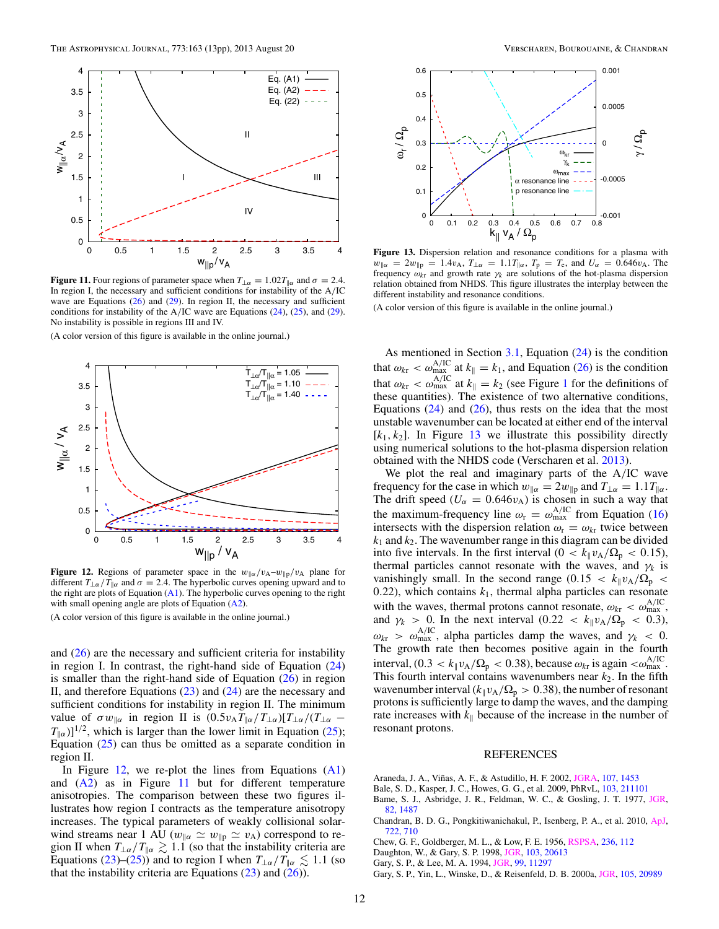<span id="page-11-0"></span>

**Figure 11.** Four regions of parameter space when  $T_{\perp \alpha} = 1.02 T_{\parallel \alpha}$  and  $\sigma = 2.4$ . In region I, the necessary and sufficient conditions for instability of the A*/*IC wave are Equations  $(26)$  and  $(29)$ . In region II, the necessary and sufficient conditions for instability of the A*/*IC wave are Equations [\(24\)](#page-3-0), [\(25\)](#page-3-0), and [\(29\)](#page-3-0). No instability is possible in regions III and IV.



**Figure 12.** Regions of parameter space in the  $w_{\alpha}/v_{A}-w_{\beta}/v_{A}$  plane for different  $T_{\perp\alpha}/T_{\parallel\alpha}$  and  $\sigma = 2.4$ . The hyperbolic curves opening upward and to the right are plots of Equation  $(A1)$ . The hyperbolic curves opening to the right with small opening angle are plots of Equation [\(A2\)](#page-10-0).

(A color version of this figure is available in the online journal.)

and  $(26)$  are the necessary and sufficient criteria for instability in region I. In contrast, the right-hand side of Equation  $(24)$ is smaller than the right-hand side of Equation  $(26)$  in region II, and therefore Equations [\(23\)](#page-3-0) and [\(24\)](#page-3-0) are the necessary and sufficient conditions for instability in region II. The minimum value of  $\sigma w_{\parallel \alpha}$  in region II is  $(0.5v_A T_{\parallel \alpha}/T_{\perp \alpha})[T_{\perp \alpha}/(T_{\perp \alpha} T_{\alpha}$ )]<sup>1/2</sup>, which is larger than the lower limit in Equation [\(25\)](#page-3-0); Equation [\(25\)](#page-3-0) can thus be omitted as a separate condition in region II.

In Figure 12, we re-plot the lines from Equations  $(A1)$ and  $(A2)$  as in Figure 11 but for different temperature anisotropies. The comparison between these two figures illustrates how region I contracts as the temperature anisotropy increases. The typical parameters of weakly collisional solarwind streams near 1 AU  $(w_{\parallel \alpha} \simeq w_{\parallel \text{p}} \simeq v_{\text{A}})$  correspond to region II when  $T_{\perp\alpha}/T_{\parallel\alpha} \gtrsim 1.1$  (so that the instability criteria are Equations [\(23\)](#page-3-0)–[\(25\)](#page-3-0)) and to region I when  $T_{\perp\alpha}/T_{\parallel\alpha} \lesssim 1.1$  (so that the instability criteria are Equations  $(23)$  and  $(26)$ ).



**Figure 13.** Dispersion relation and resonance conditions for a plasma with  $w_{\alpha} = 2w_{\beta} = 1.4v_{A}, T_{\alpha} = 1.1T_{\alpha}, T_{p} = T_{e}, \text{ and } U_{\alpha} = 0.646v_{A}.$  The frequency  $\omega_{k\tau}$  and growth rate  $\gamma_k$  are solutions of the hot-plasma dispersion relation obtained from NHDS. This figure illustrates the interplay between the different instability and resonance conditions.

(A color version of this figure is available in the online journal.)

As mentioned in Section [3.1,](#page-2-0) Equation [\(24\)](#page-3-0) is the condition that  $\omega_{k\tau} < \omega_{\text{max}}^{\text{A/IC}}$  at  $k_{\parallel} = k_1$ , and Equation [\(26\)](#page-3-0) is the condition that  $\omega_{k\text{r}} < \omega_{\text{max}}^{\text{A/IC}}$  at  $k_{\parallel} = k_2$  (see Figure [1](#page-2-0) for the definitions of these quantities). The existence of two alternative conditions, Equations  $(24)$  and  $(26)$ , thus rests on the idea that the most unstable wavenumber can be located at either end of the interval  $[k_1, k_2]$ . In Figure 13 we illustrate this possibility directly using numerical solutions to the hot-plasma dispersion relation obtained with the NHDS code (Verscharen et al. [2013\)](#page-12-0).

We plot the real and imaginary parts of the A*/*IC wave frequency for the case in which  $w_{\alpha} = 2w_{\alpha}$  and  $T_{\alpha} = 1.1 T_{\alpha}$ . The drift speed ( $U_\alpha = 0.646v_A$ ) is chosen in such a way that the maximum-frequency line  $\omega_r = \omega_{\text{max}}^{\text{A/IC}}$  from Equation [\(16\)](#page-2-0) intersects with the dispersion relation  $\omega_r = \omega_{kr}$  twice between  $k_1$  and  $k_2$ . The wavenumber range in this diagram can be divided into five intervals. In the first interval  $(0 < k_{\parallel} v_{A}/\Omega_p < 0.15)$ , thermal particles cannot resonate with the waves, and  $\gamma_k$  is vanishingly small. In the second range (0.15  $\langle k_{\parallel} v_{A}/\Omega_{p} \rangle$ 0.22), which contains  $k_1$ , thermal alpha particles can resonate with the waves, thermal protons cannot resonate,  $\omega_{\text{kr}} < \omega_{\text{max}}^{\text{A/IC}}$ , and  $\gamma_k > 0$ . In the next interval  $(0.22 < k_{\parallel} v_{A}/\Omega_p < 0.3)$ ,  $ω_{k\tau} > ω_{\text{max}}^{A/IC}$ , alpha particles damp the waves, and  $γ_k < 0$ . The growth rate then becomes positive again in the fourth interval,  $(0.3 < k_{\parallel} v_{A}/\Omega_{p} < 0.38)$ , because  $\omega_{k\tau}$  is again  $< \omega_{\text{max}}^{\text{A/IC}}$ . This fourth interval contains wavenumbers near  $k_2$ . In the fifth wavenumber interval  $(k_{\parallel}v_{A}/\Omega_{p} > 0.38)$ , the number of resonant protons is sufficiently large to damp the waves, and the damping rate increases with  $k_{\parallel}$  because of the increase in the number of resonant protons.

#### REFERENCES

- Araneda, J. A., Viñas, A. F., & Astudillo, H. F. 2002, [JGRA,](http://dx.doi.org/10.1029/2002JA009337) [107, 1453](http://adsabs.harvard.edu/abs/2002JGRA..107.1453A)
- Bale, S. D., Kasper, J. C., Howes, G. G., et al. 2009, PhRvL, [103, 211101](http://adsabs.harvard.edu/abs/2009PhRvL.103u1101B)
- Bame, S. J., Asbridge, J. R., Feldman, W. C., & Gosling, J. T. 1977, [JGR,](http://dx.doi.org/10.1029/JA082i010p01487) [82, 1487](http://adsabs.harvard.edu/abs/1977JGR....82.1487B)
- Chandran, B. D. G., Pongkitiwanichakul, P., Isenberg, P. A., et al. 2010, [ApJ,](http://dx.doi.org/10.1088/0004-637X/722/1/710) [722, 710](http://adsabs.harvard.edu/abs/2010ApJ...722..710C)
- Chew, G. F., Goldberger, M. L., & Low, F. E. 1956, [RSPSA,](http://dx.doi.org/10.1098/rspa.1956.0116) [236, 112](http://adsabs.harvard.edu/abs/1956RSPSA.236..112C)
- Daughton, W., & Gary, S. P. 1998, [JGR,](http://dx.doi.org/10.1029/98JA01385) [103, 20613](http://adsabs.harvard.edu/abs/1998JGR...10320613D)
- Gary, S. P., & Lee, M. A. 1994, [JGR,](http://dx.doi.org/10.1029/94JA00253) [99, 11297](http://adsabs.harvard.edu/abs/1994JGR....9911297G)
- Gary, S. P., Yin, L., Winske, D., & Reisenfeld, D. B. 2000a, [JGR,](http://dx.doi.org/10.1029/2000JA000049) [105, 20989](http://adsabs.harvard.edu/abs/2000JGR...10520989G)